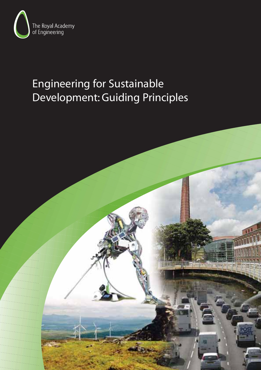

# Engineering for Sustainable Development: Guiding Principles

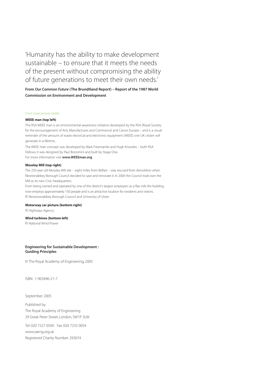'Humanity has the ability to make development sustainable – to ensure that it meets the needs of the present without compromising the ability of future generations to meet their own needs.'

**From Our Common Future (The Brundtland Report) – Report of the 1987 World Commission on Environment and Development**

#### Front cover picture credits:

#### **WEEE man (top left)**

The RSA WEEE man is an environmental awareness initiative developed by the RSA (Royal Society for the encouragement of Arts, Manufactures and Commerce) and Canon Europe – and is a visual reminder of the amount of waste electrical and electronic equipment (WEEE) one UK citizen will generate in a lifetime.

The WEEE man concept was developed by Mark Freemantle and Hugh Knowles – both RSA Fellows, it was designed by Paul Bonomini and built by Stage One.

For more information visit **www.WEEEman.org**

#### **Mossley Mill (top right)**

The 250 year old Mossley Mill site – eight miles from Belfast – was rescued from demolition when Newtonabbey Borough Council decided to save and renovate it. In 2000 the Council took over the Mill as its new Civic headquarters.

From being owned and operated by one of the district's largest employers as a flax mill, the building now employs approximately 150 people and is an attractive location for residents and visitors. © Newtownabbey Borough Council and University of Ulster

#### **Motorway car picture (bottom right)**

© Highways Agency.

#### **Wind turbines (bottom left)**

© National Wind Power

#### **Engineering for Sustainable Development : Guiding Principles**

© The Royal Academy of Engineering, 2005

ISBN: 1-903496-21-7

September 2005

Published by The Royal Academy of Engineering 29 Great Peter Street, London, SW1P 3LW

Tel: 020 7227 0500 Fax: 020 7233 0054 www.raeng.org.uk Registered Charity Number: 293074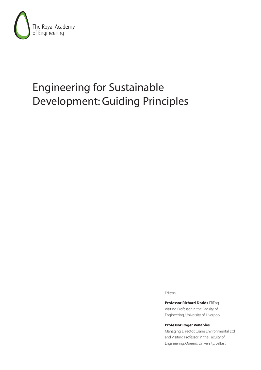

# Engineering for Sustainable Development: Guiding Principles

Editors:

**Professor Richard Dodds** FREng Visiting Professor in the Faculty of Engineering, University of Liverpool

**Professor Roger Venables**

Managing Director, Crane Environmental Ltd and Visiting Professor in the Faculty of Engineering, Queen's University, Belfast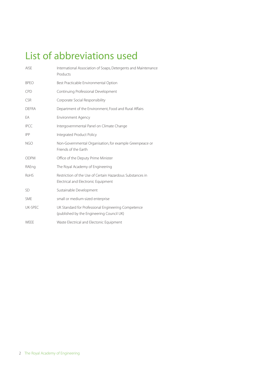# List of abbreviations used

| <b>AISE</b>    | International Association of Soaps, Detergents and Maintenance<br>Products                       |
|----------------|--------------------------------------------------------------------------------------------------|
| <b>BPEO</b>    | Best Practicable Environmental Option                                                            |
| <b>CPD</b>     | Continuing Professional Development                                                              |
| <b>CSR</b>     | Corporate Social Responsibility                                                                  |
| <b>DEFRA</b>   | Department of the Environment, Food and Rural Affairs                                            |
| EA             | <b>Environment Agency</b>                                                                        |
| <b>IPCC</b>    | Intergovernmental Panel on Climate Change                                                        |
| <b>IPP</b>     | Integrated Product Policy                                                                        |
| <b>NGO</b>     | Non-Governmental Organisation, for example Greenpeace or<br>Friends of the Farth                 |
| <b>ODPM</b>    | Office of the Deputy Prime Minister                                                              |
| RAEng          | The Royal Academy of Engineering                                                                 |
| RoHS           | Restriction of the Use of Certain Hazardous Substances in<br>Electrical and Electronic Equipment |
| <b>SD</b>      | Sustainable Development                                                                          |
| <b>SME</b>     | small or medium-sized enterprise                                                                 |
| <b>UK-SPEC</b> | UK Standard for Professional Engineering Competence<br>(published by the Engineering Council UK) |
| WEEE           | Waste Electrical and Electonic Equipment                                                         |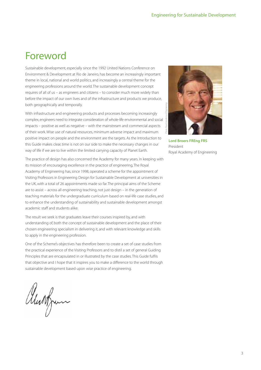# Foreword

Sustainable development, especially since the 1992 United Nations Conference on Environment & Development at Rio de Janeiro, has become an increasingly important theme in local, national and world politics, and increasingly a central theme for the engineering professions around the world. The sustainable development concept requires of all of us – as engineers and citizens – to consider much more widely than before the impact of our own lives and of the infrastructure and products we produce, both geographically and temporally.

With infrastructure and engineering products and processes becoming increasingly complex, engineers need to integrate consideration of whole-life environmental and social impacts – positive as well as negative – with the mainstream and commercial aspects of their work. Wise use of natural resources, minimum adverse impact and maximum positive impact on people and the environment are the targets. As the Introduction to this Guide makes clear, time is not on our side to make the necessary changes in our way of life if we are to live within the limited carrying capacity of Planet Earth.

The practice of design has also concerned the Academy for many years. In keeping with its mission of encouraging excellence in the practice of engineering, The Royal Academy of Engineering has, since 1998, operated a scheme for the appointment of Visiting Professors in Engineering Design for Sustainable Development at universities in the UK, with a total of 26 appointments made so far. The principal aims of the Scheme are to assist – across all engineering teaching, not just design – in the generation of teaching materials for the undergraduate curriculum based on real-life case studies, and to enhance the understanding of sustainability and sustainable development amongst academic staff and students alike.

The result we seek is that graduates leave their courses inspired by, and with understanding of, both the concept of sustainable development and the place of their chosen engineering specialism in delivering it, and with relevant knowledge and skills to apply in the engineering profession.

One of the Scheme's objectives has therefore been to create a set of case studies from the practical experience of the Visiting Professors and to distil a set of general Guiding Principles that are encapsulated in or illustrated by the case studies. This Guide fulfils that objective and I hope that it inspires you to make a difference to the world through sustainable development based upon wise practice of engineering.

alunfrum



**Lord Broers FREng FRS** President Royal Academy of Engineering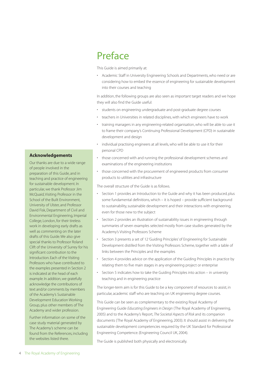# Preface

This Guide is aimed primarily at:

• Academic Staff in University Engineering Schools and Departments, who need or are considering how to embed the essence of engineering for sustainable development into their courses and teaching

In addition, the following groups are also seen as important target readers and we hope they will also find the Guide useful:

- students on engineering undergraduate and post-graduate degree courses
- teachers in Universities in related disciplines, with which engineers have to work
- training managers in any engineering-related organisation, who will be able to use it to frame their company's Continuing Professional Development (CPD) in sustainable development and design
- individual practising engineers at all levels, who will be able to use it for their personal CPD
- those concerned with and running the professional development schemes and examinations of the engineering institutions
- those concerned with the procurement of engineered products from consumer products to utilities and infrastructure

The overall structure of the Guide is as follows.

- Section 1 provides an Introduction to the Guide and why it has been produced, plus some fundamental definitions, which – it is hoped – provide sufficient background to sustainability, sustainable development and their interactions with engineering, even for those new to the subject
- Section 2 provides an illustration of sustainability issues in engineering through summaries of seven examples selected mostly from case studies generated by the Academy's Visiting Professors Scheme
- Section 3 presents a set of 12 'Guiding Principles' of Engineering for Sustainable Development distilled from the Visiting Professors Scheme, together with a table of links between the Principles and the examples
- Section 4 provides advice on the application of the Guiding Principles in practice by relating them to five main stages in any engineering project or enterprise
- Section 5 indicates how to take the Guiding Principles into action in university teaching and in engineering practice

The longer-term aim is for this Guide to be a key component of resources to assist, in particular, academic staff who are teaching on UK engineering degree courses.

This Guide can be seen as complementary to the existing Royal Academy of Engineering Guide Educating Engineers in Design (The Royal Academy of Engineering, 2005) and to the Academy's Report, The Societal Aspects of Risk and its companion documents (The Royal Academy of Engineering, 2003). It should assist in delivering the sustainable development competencies required by the UK Standard for Professional Engineering Competence. (Engineering Council UK, 2004).

The Guide is published both physically and electronically.

#### **Acknowledgements**

Our thanks are due to a wide range of people involved in the preparation of this Guide, and in teaching and practice of engineering for sustainable development. In particular, we thank Professor Jim McQuaid, Visiting Professor in the School of the Built Environment, University of Ulster, and Professor David Fisk, Department of Civil and Environmental Engineering, Imperial College, London, for their tireless work in developing early drafts as well as commenting on the later drafts of this Guide. We also give special thanks to Professor Roland Clift of the University of Surrey for his significant contribution to the Introduction. Each of the Visiting Professors who have contributed to the examples presented in Section 2 is indicated at the head of each example. In addition, we gratefully acknowledge the contributions of text and/or comments by members of the Academy's Sustainable Development Education Working Group, plus other members of The Academy and wider profession.

Further information on some of the case study material generated by The Academy's scheme can be found from the References, including the websites listed there.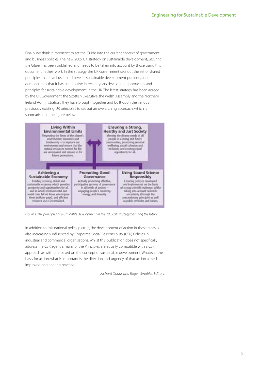Finally, we think it important to set the Guide into the current context of government and business policies. The new 2005 UK strategy on sustainable development, Securing the future, has been published and needs to be taken into account by those using this document in their work. In the strategy, the UK Government sets out the set of shared principles that it will use to achieve its sustainable development purpose, and demonstrates that it has been active in recent years developing approaches and principles for sustainable development in the UK. The latest strategy has been agreed by the UK Government, the Scottish Executive, the Welsh Assembly and the Northern Ireland Administration. They have brought together and built upon the various previously existing UK principles to set out an overarching approach, which is summarised in the figure below.



Figure 1: The principles of sustainable development in the 2005 UK strategy 'Securing the future'

In addition to this national policy picture, the development of action in these areas is also increasingly influenced by Corporate Social Responsibility (CSR) Policies in industrial and commercial organisations. Whilst this publication does not specifically address the CSR agenda, many of the Principles are equally compatible with a CSR approach as with one based on the concept of sustainable development. Whatever the basis for action, what is important is the direction and urgency of that action aimed at improved engineering practice.

Richard Dodds and Roger Venables, Editors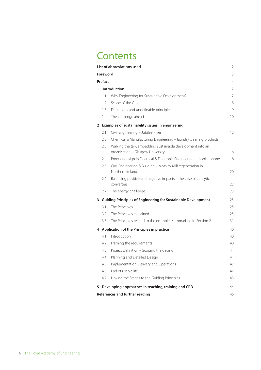# **Contents**

|                |          | List of abbreviations used                                                      | $\overline{2}$ |
|----------------|----------|---------------------------------------------------------------------------------|----------------|
|                | Foreword |                                                                                 | 3              |
|                | Preface  |                                                                                 | 4              |
| 1              |          | <b>Introduction</b>                                                             | 7              |
|                | 1.1      | Why Engineering for Sustainable Development?                                    | 7              |
|                | 1.2      | Scope of the Guide                                                              | 8              |
|                | 1.3      | Definitions and undefinable principles                                          | 9              |
|                | 1.4      | The challenge ahead                                                             | 10             |
| $\overline{2}$ |          | Examples of sustainability issues in engineering                                | 11             |
|                | 2.1      | Civil Engineering - Jubilee River                                               | 12             |
|                | 2.2      | Chemical & Manufacturing Engineering - laundry cleaning products                | 14             |
|                | 2.3      | Walking the talk: embedding sustainable development into an                     |                |
|                |          | organisation - Glasgow University                                               | 16             |
|                | 2.4      | Product design in Electrical & Electronic Engineering - mobile phones           | 18             |
|                | 2.5      | Civil Engineering & Building - Mossley Mill regeneration in<br>Northern Ireland | 20             |
|                | 2.6      | Balancing positive and negative impacts - the case of catalytic<br>converters   | 22             |
|                | 2.7      | The energy challenge                                                            | 23             |
| 3              |          | <b>Guiding Principles of Engineering for Sustainable Development</b>            | 25             |
|                | 3.1      | The Principles                                                                  | 25             |
|                | 3.2      | The Principles explained                                                        | 25             |
|                | 3.3      | The Principles related to the examples summarised in Section 2                  | 31             |
|                |          | 4 Application of the Principles in practice                                     | 40             |
|                | 4.1      | Introduction                                                                    | 40             |
|                | 4.2      | Framing the requirements                                                        | 40             |
|                | 4.3      | Project Definition - Scoping the decision                                       | 41             |
|                | 4.4      | Planning and Detailed Design                                                    | 41             |
|                | 4.5      | Implementation, Delivery and Operations                                         | 42             |
|                | 4.6      | End of usable life                                                              | 42             |
|                | 4.7      | Linking the Stages to the Guiding Principles                                    | 43             |
|                |          | 5 Developing approaches in teaching, training and CPD                           | 44             |
|                |          | References and further reading                                                  | 46             |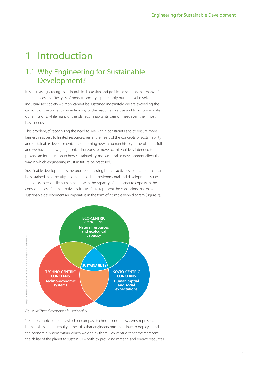# 1 Introduction

## 1.1 Why Engineering for Sustainable Development?

It is increasingly recognised, in public discussion and political discourse, that many of the practices and lifestyles of modern society – particularly but not exclusively industrialised society – simply cannot be sustained indefinitely. We are exceeding the capacity of the planet to provide many of the resources we use and to accommodate our emissions, while many of the planet's inhabitants cannot meet even their most basic needs.

This problem, of recognising the need to live within constraints and to ensure more fairness in access to limited resources, lies at the heart of the concepts of sustainability and sustainable development. It is something new in human history – the planet is full and we have no new geographical horizons to move to. This Guide is intended to provide an introduction to how sustainability and sustainable development affect the way in which engineering must in future be practised.

Sustainable development is the process of moving human activities to a pattern that can be sustained in perpetuity. It is an approach to environmental and development issues that seeks to reconcile human needs with the capacity of the planet to cope with the consequences of human activities. It is useful to represent the constraints that make sustainable development an imperative in the form of a simple Venn diagram (Figure 2).



Figure 2a: Three dimensions of sustainability

'Techno-centric concerns', which encompass techno-economic systems, represent human skills and ingenuity – the skills that engineers must continue to deploy – and the economic system within which we deploy them.'Eco-centric concerns' represent the ability of the planet to sustain us – both by providing material and energy resources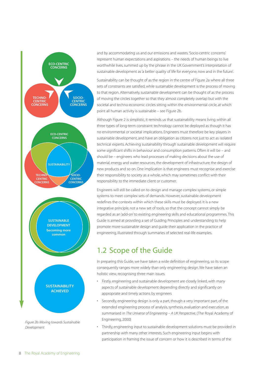

and by accommodating us and our emissions and wastes.'Socio-centric concerns' represent human expectations and aspirations – the needs of human beings to live worthwhile lives, summed up by the phrase in the UK Government's interpretation of sustainable development as 'a better quality of life for everyone, now and in the future'.

Sustainability can be thought of as the region in the centre of Figure 2a where all three sets of constraints are satisfied, while sustainable development is the process of moving to that region. Alternatively, sustainable development can be thought of as the process of moving the circles together so that they almost completely overlap but with the societal and techno-economic circles sitting within the environmental circle, at which point all human activity is sustainable – see Figure 2b.

Although Figure 2 is simplistic, it reminds us that sustainability means living within all three types of long-term constraint: technology cannot be deployed as though it has no environmental or societal implications. Engineers must therefore be key players in sustainable development, and have an obligation as citizens not just to act as isolated technical experts. Achieving sustainability through sustainable development will require some significant shifts in behaviour and consumption patterns. Often it will be – and should be – engineers who lead processes of making decisions about the use of material, energy and water resources, the development of infrastructure, the design of new products and so on. One implication is that engineers must recognise and exercise their responsibility to society as a whole, which may sometimes conflict with their responsibility to the immediate client or customer.

Engineers will still be called on to design and manage complex systems, or simple systems to meet complex sets of demands. However, sustainable development redefines the contexts within which these skills must be deployed. It is a new integrative principle, not a new set of tools, so that the concept cannot simply be regarded as an 'add-on' to existing engineering skills and educational programmes. This Guide is aimed at providing a set of Guiding Principles and understanding to help promote more-sustainable design and guide their application in the practice of engineering, illustrated through summaries of selected real-life examples.

## 1.2 Scope of the Guide

In preparing this Guide, we have taken a wide definition of engineering, so its scope consequently ranges more widely than only engineering design. We have taken an holistic view, recognising three main issues.

- Firstly, engineering and sustainable development are closely linked, with many aspects of sustainable development depending directly and significantly on appropriate and timely actions by engineers
- Secondly, engineering design is only a part, though a very important part, of the extended engineering process of analysis, synthesis, evaluation and execution, as summarised in The Universe of Engineering – A UK Perspective, (The Royal Academy of Engineering, 2000)
- Thirdly, engineering input to sustainable development solutions must be provided in partnership with many other interests. Such engineering input begins with participation in framing the issue of concern or how it is described in terms of the

Development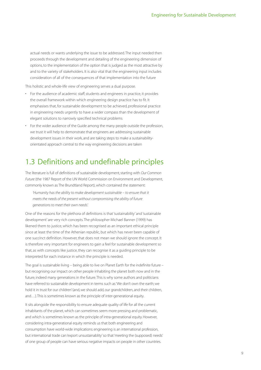actual needs or wants underlying the issue to be addressed. The input needed then proceeds through the development and detailing of the engineering dimension of options, to the implementation of the option that is judged as the most attractive by and to the variety of stakeholders. It is also vital that the engineering input includes consideration of all of the consequences of that implementation into the future

This holistic and whole-life view of engineering serves a dual purpose.

- For the audience of academic staff, students and engineers in practice, it provides the overall framework within which engineering design practice has to fit. It emphasises that, for sustainable development to be achieved, professional practice in engineering needs urgently to have a wider compass than the development of elegant solutions to narrowly specified technical problems
- For the wider audience of the Guide among the many people outside the profession, we trust it will help to demonstrate that engineers are addressing sustainable development issues in their work, and are taking steps to make a sustainabilityorientated approach central to the way engineering decisions are taken

### 1.3 Definitions and undefinable principles

The literature is full of definitions of sustainable development, starting with Our Common Future (the 1987 Report of the UN World Commission on Environment and Development, commonly known as The Brundtland Report), which contained the statement:

'Humanity has the ability to make development sustainable – to ensure that it meets the needs of the present without compromising the ability of future generations to meet their own needs'.

One of the reasons for the plethora of definitions is that 'sustainability' and 'sustainable development' are very rich concepts. The philosopher Michael Banner (1999) has likened them to justice, which has been recognised as an important ethical principle since at least the time of the Athenian republic, but which has never been capable of one succinct definition. However, that does not mean we should ignore the concept. It is therefore very important for engineers to gain a feel for sustainable development so that, as with concepts like justice, they can recognise it as a quiding principle to be interpreted for each instance in which the principle is needed.

The goal is sustainable living – being able to live on Planet Earth for the indefinite future – but recognising our impact on other people inhabiting the planet both now and in the future, indeed many generations in the future.This is why some authors and politicians have referred to sustainable development in terms such as 'We don't own the earth; we hold it in trust for our children' (and, we should add, our grandchildren, and their children, and…).This is sometimes known as the principle of inter-generational equity.

It sits alongside the responsibility to ensure adequate quality of life for all the current inhabitants of the planet, which can sometimes seem more pressing and problematic, and which is sometimes known as the principle of intra-generational equity. However, considering intra-generational equity reminds us that both engineering and consumption have world-wide implications: engineering is an international profession, but international trade can 'export unsustainablity' so that 'meeting the (supposed) needs' of one group of people can have serious negative impacts on people in other countries.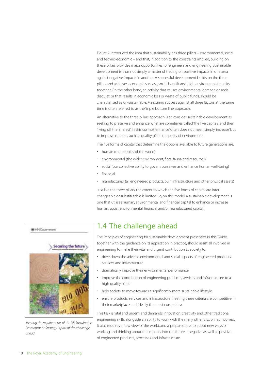Figure 2 introduced the idea that sustainability has three pillars – environmental, social and techno-economic – and that, in addition to the constraints implied, building on these pillars provides major opportunities for engineers and engineering. Sustainable development is thus not simply a matter of trading off positive impacts in one area against negative impacts in another. A successful development builds on the three pillars and achieves economic success, social benefit and high environmental quality together. On the other hand, an activity that causes environmental damage or social disquiet, or that results in economic loss or waste of public funds, should be characterised as un-sustainable. Measuring success against all three factors at the same time is often referred to as the 'triple bottom line' approach.

An alternative to the three pillars approach is to consider sustainable development as seeking to preserve and enhance what are sometimes called 'the five capitals' and then 'living off the interest'. In this context 'enhance' often does not mean simply 'increase' but to improve matters, such as quality of life or quality of environment.

The five forms of capital that determine the options available to future generations are:

- human (the peoples of the world)
- environmental (the wider environment, flora, fauna and resources)
- social (our collective ability to govern ourselves and enhance human well-being)
- financial
- manufactured (all engineered products, built infrastructure and other physical assets)

Just like the three pillars, the extent to which the five forms of capital are interchangeable or substitutable is limited. So, on this model, a sustainable development is one that utilises human, environmental and financial capital to enhance or increase human, social, environmental, financial and/or manufactured capital.



Meeting the requirements of the UK Sustainable Development Strategy is part of the challenge ahead

## 1.4 The challenge ahead

The Principles of engineering for sustainable development presented in this Guide, together with the guidance on its application in practice, should assist all involved in engineering to make their vital and urgent contribution to society to:

- drive down the adverse environmental and social aspects of engineered products, services and infrastructure
- dramatically improve their environmental performance
- improve the contribution of engineering products, services and infrastructure to a high quality of life
- help society to move towards a significantly more-sustainable lifestyle
- ensure products, services and infrastructure meeting these criteria are competitive in their marketplace and, ideally, the most competitive

This task is vital and urgent, and demands innovation, creativity and other traditional engineering skills, alongside an ability to work with the many other disciplines involved. It also requires a new view of the world, and a preparedness to adopt new ways of working and thinking about the impacts into the future – negative as well as positive – of engineered products, processes and infrastructure.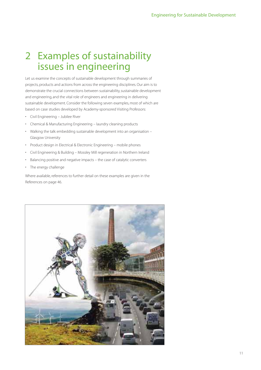# 2 Examples of sustainability issues in engineering

Let us examine the concepts of sustainable development through summaries of projects, products and actions from across the engineering disciplines. Our aim is to demonstrate the crucial connections between sustainability, sustainable development and engineering, and the vital role of engineers and engineering in delivering sustainable development. Consider the following seven examples, most of which are based on case studies developed by Academy-sponsored Visiting Professors:

- Civil Engineering Jubilee River
- Chemical & Manufacturing Engineering laundry cleaning products
- Walking the talk: embedding sustainable development into an organisation Glasgow University
- Product design in Electrical & Electronic Engineering mobile phones
- Civil Engineering & Building Mossley Mill regeneration in Northern Ireland
- Balancing positive and negative impacts the case of catalytic converters
- The energy challenge

Where available, references to further detail on these examples are given in the References on page 46.

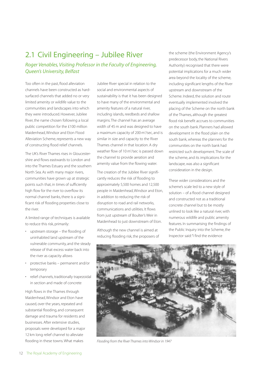## 2.1 Civil Engineering – Jubilee River

Roger Venables, Visiting Professor in the Faculty of Engineering, Queen's University, Belfast

Too often in the past, flood alleviation channels have been constructed as hardsurfaced channels that added no or very limited amenity or wildlife value to the communities and landscapes into which they were introduced. However, Jubilee River, the name chosen following a local public competition for the £100 million Maidenhead, Windsor and Eton Flood Alleviation Scheme, represents a new way of constructing flood relief channels.

The UK's River Thames rises in Gloucestershire and flows eastwards to London and into the Thames Estuary and the southern North Sea. As with many major rivers, communities have grown up at strategic points such that, in times of sufficiently high flow for the river to overflow its normal channel banks, there is a significant risk of flooding properties close to the river.

A limited range of techniques is available to reduce this risk, primarily:

- upstream storage the flooding of uninhabited land upstream of the vulnerable community, and the steady release of that excess water back into the river as capacity allows
- protective banks permanent and/or temporary
- relief channels, traditionally trapezoidal in section and made of concrete

High flows in the Thames through Maidenhead, Windsor and Eton have caused, over the years, repeated and substantial flooding, and consequent damage and trauma for residents and businesses. After extensive studies, proposals were developed for a major 12 km long relief channel to alleviate flooding in these towns. What makes

Jubilee River special in relation to the social and environmental aspects of sustainability is that it has been designed to have many of the environmental and amenity features of a natural river, including islands, reedbeds and shallow margins. The channel has an average width of 45 m and was designed to have a maximum capacity of 200 m<sup>3</sup>/sec, and is similar in size and capacity to the River Thames channel in that location. A dry weather flow of 10 m<sup>3</sup>/sec is passed down the channel to provide aeration and amenity value from the flowing water.

The creation of the Jubilee River significantly reduces the risk of flooding to approximately 5,500 homes and 12,500 people in Maidenhead, Windsor and Eton, in addition to reducing the risk of disruption to road and rail networks, communications and utilities. It flows from just upstream of Boulter's Weir in Maidenhead to just downstream of Eton.

Although the new channel is aimed at reducing flooding risk, the proposers of the scheme (the Environment Agency's predecessor body, the National Rivers Authority) recognised that there were potential implications for a much wider area beyond the locality of the scheme, including significant lengths of the River upstream and downstream of the Scheme. Indeed, the solution and route eventually implemented involved the placing of the Scheme on the north bank of the Thames, although the greatest flood risk benefit accrues to communities on the south bank. Planners had allowed development in the flood plain on the south bank, whereas the planners for the communities on the north bank had restricted such development. The scale of the scheme, and its implications for the landscape, was also a significant consideration in the design.

These wider considerations and the scheme's scale led to a new style of solution – of a flood channel designed and constructed not as a traditional concrete channel but to be mostly unlined to look like a natural river, with numerous wildlife and public amenity features. In summarising the findings of the Public Inquiry into the Scheme, the Inspector said:"I find the evidence



Flooding from the River Thames into Windsor in 1947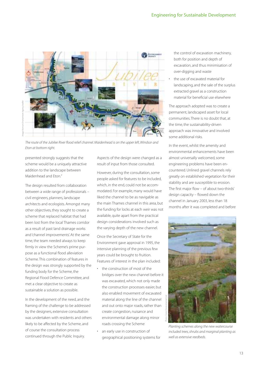

The route of the Jubilee River flood relief channel. Maidenhead is on the upper left, Windsor and Eton at bottom right.

presented strongly suggests that the scheme would be a uniquely attractive addition to the landscape between Maidenhead and Eton."

The design resulted from collaboration between a wide range of professionals – civil engineers, planners, landscape architects and ecologists. Amongst many other objectives, they sought to create a scheme that replaced habitat that had been lost from the local Thames corridor as a result of past land drainage works and 'channel improvements'. At the same time, the team needed always to keep firmly in view the Scheme's prime purpose as a functional flood alleviation Scheme. This combination of features in the design was strongly supported by the funding body for the Scheme, the Regional Flood Defence Committee, and met a clear objective to create as sustainable a solution as possible.

In the development of the need, and the framing of the challenge to be addressed by the designers, extensive consultation was undertaken with residents and others likely to be affected by the Scheme, and of course the consultation process continued through the Public Inquiry.

Aspects of the design were changed as a result of input from those consulted.

However, during the consultation, some people asked for features to be included, which, in the end, could not be accommodated. For example, many would have liked the channel to be as navigable as the main Thames channel in this area, but the funding for locks at each weir was not available, quite apart from the practical design considerations involved such as the varying depth of the new channel.

Once the Secretary of State for the Environment gave approval in 1995, the intensive planning of the previous few years could be brought to fruition. Features of interest in the plan included:

- the construction of most of the bridges over the new channel before it was excavated, which not only made the construction processes easier, but also enabled movement of excavated material along the line of the channel and out onto major roads, rather than create congestion, nuisance and environmental damage along minor roads crossing the Scheme
- an early use in construction of geographical positioning systems for

the control of excavation machinery, both for position and depth of excavation, and thus minimisation of over-digging and waste

the use of excavated material for landscaping, and the sale of the surplus extracted gravel as a construction material for beneficial use elsewhere

The approach adopted was to create a permanent, landscaped asset for local communities. There is no doubt that, at the time, the sustainability-driven approach was innovative and involved some additional risks.

In the event, whilst the amenity and environmental enhancements have been almost universally welcomed, some engineering problems have been encountered. Unlined gravel channels rely greatly on established vegetation for their stability and are susceptible to erosion. The first major flow – of about two-thirds' design capacity – flowed down the channel in January 2003, less than 18 months after it was completed and before



Planting schemes along the new watercourse included trees, shrubs and marginal planting as well as extensive reedbeds.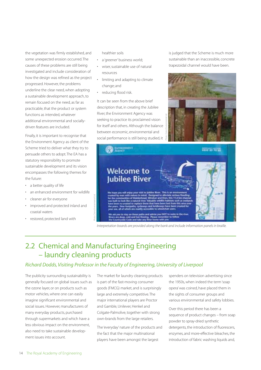the vegetation was firmly established, and some unexpected erosion occurred. The causes of these problems are still being investigated and include consideration of how the design was refined as the project progressed. However, the problems underline the clear need, when adopting a sustainable development approach, to remain focused on the need, as far as practicable, that the product or system functions as intended, whatever additional environmental and sociallydriven features are included.

Finally, it is important to recognise that the Environment Agency as client of the Scheme tried to deliver what they try to persuade others to adopt. The EA has a statutory responsibility to promote sustainable development and its vision encompasses the following themes for the future:

- a better quality of life
- an enhanced environment for wildlife
- cleaner air for everyone
- improved and protected inland and coastal waters
- restored, protected land with

healthier soils

- a 'greener' business world;
- wiser, sustainable use of natural resources
- limiting and adapting to climate change; and
- reducing flood risk.

It can be seen from the above brief description that, in creating the Jubilee River, the Environment Agency was seeking to practice its proclaimed vision for itself and others. Although the balance between economic, environmental and social performance is still being studied, it

is judged that the Scheme is much more sustainable than an inaccessible, concrete trapezoidal channel would have been.





# 2.2 Chemical and Manufacturing Engineering – laundry cleaning products

Photo: Crane Environmental Ltd.

#### Richard Dodds, Visiting Professor in the Faculty of Engineering, University of Liverpool

The publicity surrounding sustainability is generally focused on global issues such as the ozone layer, or on products such as motor vehicles, where one can easily imagine significant environmental and social issues. However, manufacturers of many everyday products, purchased through supermarkets and which have a less obvious impact on the environment, also need to take sustainable development issues into account.

The market for laundry cleaning products is part of the fast-moving consumer goods (FMCG) market, and is surprisingly large and extremely competitive. The major international players are Proctor and Gamble, Unilever, Henkel and Colgate-Palmolive, together with strong own-brands from the large retailers.

The 'everyday' nature of the products and the fact that the major multinational players have been amongst the largest

spenders on television advertising since the 1950s, when indeed the term 'soap opera' was coined, have placed them in the sights of consumer groups and various environmental and safety lobbies.

Over this period there has been a sequence of product changes – from soap powder to spray-dried synthetic detergents, the introduction of fluorescers, enzymes, and more-effective bleaches, the introduction of fabric washing liquids and,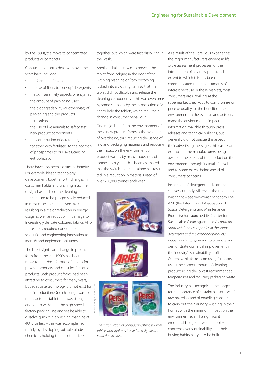by the 1990s, the move to concentrated products or 'compacts'.

Consumer concerns dealt with over the years have included:

- the foaming of rivers
- the use of fillers to 'bulk up' detergents
- the skin sensitivity aspects of enzymes
- the amount of packaging used
- the biodegradability (or otherwise) of packaging and the products themselves
- the use of live animals to safety-test new product components
- the contribution of detergents, together with fertilisers, to the addition of phosphates to our lakes, causing eutrophication

There have also been significant benefits. For example, bleach technology development, together with changes in consumer habits and washing machine design, has enabled the cleaning temperature to be progressively reduced in most cases to 40 and even 30º C, resulting in a major reduction in energy usage as well as reduction in damage to increasingly delicate coloured fabrics. All of these areas required considerable scientific and engineering innovation to identify and implement solutions.

The latest significant change in product form, from the late 1990s, has been the move to unit-dose formats of tablets for powder products, and capsules for liquid products. Both product forms had been attractive to consumers for many years, but adequate technology did not exist for  $\frac{3}{2}$ their introduction. One challenge was to manufacture a tablet that was strong enough to withstand the high-speed factory packing line and yet be able to dissolve quickly in a washing machine at 40º C, or less – this was accomplished mainly by developing suitable binder chemicals holding the tablet particles

together but which were fast-dissolving in the wash.

Another challenge was to prevent the tablet from lodging in the door of the washing machine or from becoming locked into a clothing item so that the tablet did not dissolve and release the cleaning components – this was overcome by some suppliers by the introduction of a net to hold the tablets, which required a change in consumer behaviour.

One major benefit to the environment of these new product forms is the avoidance of overdosing, thus reducing the usage of raw and packaging materials and reducing the impact on the environment of product wastes by many thousands of tonnes each year. It has been estimated that the switch to tablets alone has resulted in a reduction in materials used of over 250,000 tonnes each year.







The introduction of compact washing powder tablets and liquitabs has led to a significant reduction in waste.

As a result of their previous experiences, the major manufacturers engage in lifecycle assessment processes for the introduction of any new products. The extent to which this has been communicated to the consumer is of interest because, in these markets, most consumers are unwilling, at the supermarket check-out, to compromise on price or quality for the benefit of the environment. In the event, manufacturers made the environmental impact information available through press releases and technical bulletins, but generally did not pursue this aspect in their advertising messages. This case is an example of the manufacturers being aware of the effects of the product on the environment through its total life-cycle and to some extent being ahead of consumers' concerns.

Inspection of detergent packs on the shelves currently will reveal the trademark Washright – see www.washright.com. The AISE (the International Association of Soaps, Detergents and Maintenance Products) has launched its Charter for Sustainable Cleaning, entitled A common approach for all companies in the soaps, detergents and maintenance products industry in Europe, aiming to promote and demonstrate continual improvement in the industry's sustainability profile. Currently, this focuses on using full loads, using the correct amount of cleaning product, using the lowest recommended temperatures and reducing packaging waste.

The industry has recognised the longerterm importance of sustainable sources of raw materials and of enabling consumers to carry out their laundry washing in their homes with the minimum impact on the environment, even if a significant emotional bridge between people's concerns over sustainability and their buying habits has yet to be built.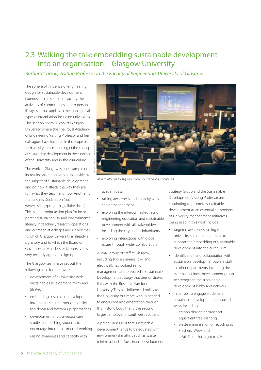### 2.3 Walking the talk: embedding sustainable development into an organisation – Glasgow University

#### Barbara Carroll, Visiting Professor in the Faculty of Engineering, University of Glasgow

The sphere of influence of engineering design for sustainable development extends into all sectors of society, the activities of communities and to personal lifestyles. It thus applies to the running of all types of organisation, including universities. This section reviews work at Glasgow University, where the The Royal Academy of Engineering Visiting Professor and her colleagues have included in the scope of their activity the embedding of the concept of sustainable development in the running of the University and in the curriculum.

The work at Glasgow is one example of increasing attention within universities to the subject of sustainable development, and on how it affects the way they are run, what they teach and how. Another is the Talloires Declaration (see www.ulsf.org/programs\_talloires.html). This is a ten-point action plan for incorporating sustainability and environmental literacy in teaching, research, operations and outreach at colleges and universities, to which Glasgow University is already a signatory, and to which the Board of Governors at Manchester University has very recently agreed to sign up.

The Glasgow team have set out the following aims for their work:

- development of a University-wide Sustainable Development Policy and Strategy
- embedding sustainable development into the curriculum through parallel top-down and bottom-up approaches
- development of cross-sector case studies for teaching students to encourage inter-departmental working
- raising awareness and capacity with



All activities at Glasgow University are being addressed.

academic staff

- raising awareness and capacity with senior management
- exploring the interconnectedness of engineering education and sustainable development with all stakeholders, including the city and its inhabitants
- exploring interactions with global issues through wider collaboration

A small group of staff at Glasgow, including two engineers (civil and electrical), has lobbied senior management and prepared a Sustainable Development Strategy that demonstrates links with the Business Plan for the University. This has influenced policy for the University, but more work is needed to encourage implementation through this historic body that is the second largest employer in southwest Scotland.

A particular issue is that sustainable development tends to be equated with environmental matters such as waste minimisation.The Sustainable Development Strategy Group and the Sustainable Development Visiting Professor are continuing to promote sustainable development as an essential component of University management. Initiatives being used in this work include:

- targeted awareness-raising to university senior management to support the embedding of sustainable development into the curriculum
- identification and collaboration with sustainable development-aware staff in other departments, including the external business development group, to strengthen the sustainable development lobby and network
- initiatives to engage students in sustainable development in unusual ways, including:
	- carbon dioxide or transportequivalent tree-planting,
	- waste minimisation or recycling at Freshers' Week, and
	- a Fair Trade Fortnight to raise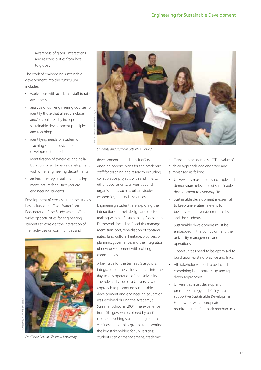awareness of global interactions and responsibilities from local to global.

The work of embedding sustainable development into the curriculum includes:

- workshops with academic staff to raise awareness
- analysis of civil engineering courses to identify those that already include, and/or could readily incorporate, sustainable development principles and teachings
- identifying needs of academic teaching staff for sustainable development material
- identification of synergies and collaboration for sustainable development with other engineering departments
- an introductory sustainable development lecture for all first year civil engineering students

Development of cross-sector case studies has included the Clyde Waterfront Regeneration Case Study, which offers wider opportunities for engineering students to consider the interaction of their activities on communities and



Fair Trade Day at Glasgow University



Students and staff are actively involved.

development. In addition, it offers ongoing opportunities for the academic staff for teaching and research, including collaborative projects with and links to other departments, universities and organisations, such as urban studies, economics, and social sciences.

Engineering students are exploring the interactions of their design and decisionmaking within a Sustainability Assessment Framework, including flood risk management, transport, remediation of contaminated land, cultural heritage, biodiversity, planning, governance, and the integration of new development with existing communities.

A key issue for the team at Glasgow is integration of the various strands into the day-to-day operation of the University. The role and value of a University-wide approach to promoting sustainable development and engineering education was explored during the Academy's Summer School in 2004. The experience from Glasgow was explored by participants (teaching staff at a range of universities) in role-play groups representing the key stakeholders for universities: students, senior management, academic

staff and non-academic staff. The value of such an approach was endorsed and summarised as follows:

- Universities must lead by example and demonstrate relevance of sustainable development to everyday life
- Sustainable development is essential to keep universities relevant to business (employers), communities and the students
- Sustainable development must be embedded in the curriculum and the university management and operations
- Opportunities need to be optimised to build upon existing practice and links.
- All stakeholders need to be included, combining both bottom-up and topdown approaches
- Universities must develop and promote Strategy and Policy as a supportive Sustainable Development Framework, with appropriate monitoring and feedback mechanisms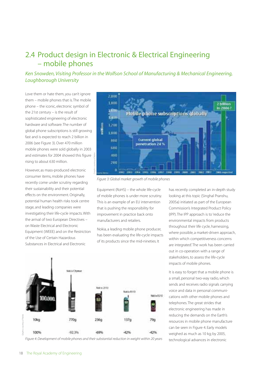## 2.4 Product design in Electronic & Electrical Engineering – mobile phones

#### Ken Snowden, Visiting Professor in the Wolfson School of Manufacturing & Mechanical Engineering, Loughborough University

Love them or hate them, you can't ignore them – mobile phones that is. The mobile phone – the iconic, electronic symbol of the 21st century – is the result of sophisticated engineering of electronic hardware and software. The number of global phone subscriptions is still growing fast and is expected to reach 2 billion in 2006 (see Figure 3). Over 470 million mobile phones were sold globally in 2003 and estimates for 2004 showed this figure rising to about 630 million.

However, as mass-produced electronic consumer items, mobile phones have recently come under scrutiny regarding their sustainability and their potential effects on the environment. Originally, potential human health risks took centre stage, and leading companies were investigating their life-cycle impacts. With the arrival of two European Directives – on Waste Electrical and Electronic Equipment (WEEE) and on the Restriction of the Use of Certain Hazardous Substances in Electrical and Electronic



Figure 3: Global market growth of mobile phones

Equipment (RoHS) – the whole life-cycle of mobile phones is under more scrutiny. This is an example of an EU intervention that is pushing the responsibility for improvement in practice back onto manufacturers and retailers.

Nokia, a leading mobile phone producer, has been evaluating the life-cycle impacts of its products since the mid-nineties. It

has recently completed an in-depth study looking at this topic (Singhal Pranshu, 2005a) initiated as part of the European Commission's Integrated Product Policy (IPP). The IPP approach is to 'reduce the environmental impacts from products throughout their life cycle, harnessing, where possible, a market-driven approach, within which competitiveness concerns are integrated'. The work has been carried out in co-operation with a range of stakeholders, to assess the life-cycle impacts of mobile phones.

It is easy to forget that a mobile phone is a small, personal two-way radio, which sends and receives radio signals carrying voice and data in personal communications with other mobile phones and telephones. The great strides that electronic engineering has made in reducing the demands on the Earth's resources in mobile phone manufacture can be seen in Figure 4. Early models weighed as much as 10 kg; by 2005,



Figure 4: Development of mobile phones and their substantial reduction in weight within 20 years technological advances in electronic

Graphic courtesy of Nokia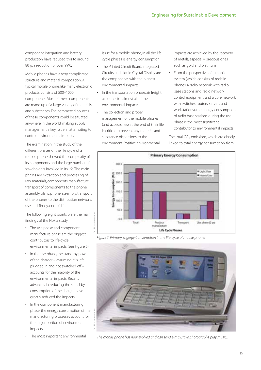component integration and battery production have reduced this to around 80 g, a reduction of over 99%.

Mobile phones have a very complicated structure and material composition. A typical mobile phone, like many electronic products, consists of 500–1000 components. Most of these components are made up of a large variety of materials and substances. The commercial sources of these components could be situated anywhere in the world, making supply management a key issue in attempting to control environmental impacts.

The examination in the study of the different phases of the life cycle of a mobile phone showed the complexity of its components and the large number of stakeholders involved in its life. The main phases are extraction and processing of raw materials, components manufacture, transport of components to the phone assembly plant, phone assembly, transport of the phones to the distribution network, use and, finally, end-of-life.

The following eight points were the main findings of the Nokia study.

- The use phase and component manufacture phase are the biggest contributors to life-cycle environmental impacts (see Figure 5)
- In the use phase, the stand-by power of the charger – assuming it is left plugged in and not switched off – accounts for the majority of the environmental impacts. Recent advances in reducing the stand-by consumption of the charger have greatly reduced the impacts
- In the component manufacturing phase, the energy consumption of the manufacturing processes account for the major portion of environmental impacts
- The most important environmental

issue for a mobile phone, in all the life cycle phases, is energy consumption

- The Printed Circuit Board, Integrated Circuits and Liquid Crystal Display are the components with the highest environmental impacts
- In the transportation phase, air freight accounts for almost all of the environmental impacts
- The collection and proper management of the mobile phones (and accessories) at the end of their life is critical to prevent any material and substance dispersions to the environment. Positive environmental

impacts are achieved by the recovery of metals, especially precious ones such as gold and platinum

• From the perspective of a mobile system (which consists of mobile phones, a radio network with radio base stations and radio network control equipment, and a core network with switches, routers, servers and workstations), the energy consumption of radio base stations during the use phase is the most significant contributor to environmental impacts

The total  $CO<sub>2</sub>$  emissions, which are closely linked to total energy consumption, from



Figure 5: Primary Engergy Consumption in the life-cycle of mobile phones



The mobile phone has now evolved and can send e-mail, take photographs, play music...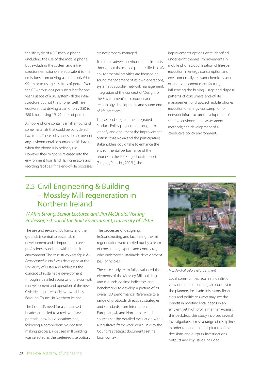the life cycle of a 3G mobile phone (including the use of the mobile phone but excluding the system and infrastructure emissions) are equivalent to the emissions from driving a car for only 65 to 95 km or to using 4–6 litres of petrol. Even the  $CO<sub>2</sub>$  emissions per subscriber for one year's usage of a 3G system (all the infrastructure but not the phone itself) are equivalent to driving a car for only 250 to 380 km, or using 19–21 litres of petrol.

A mobile phone contains small amounts of some materials that could be considered hazardous.These substances do not present any environmental or human health hazard when the phone is in ordinary use. However, they might be released into the environment from landfills, incinerators and recycling facilities if the end-of-life processes are not properly managed.

To reduce adverse environmental impacts throughout the mobile phone's life, Nokia's environmental activities are focused on sound management of its own operations, systematic supplier network management, integration of the concept of 'Design for the Environment' into product and technology development, and sound endof-life practices.

The second stage of the Integrated Product Policy project then sought to identify and document the improvement options that Nokia and the participating stakeholders could take to enhance the environmental performance of the phones. In the IPP Stage II draft report (Singhal, Pranshu, 2005b), the

improvements options were identified under eight themes: improvements in mobile phones; optimisation of life-span; reduction in energy consumption and environmentally relevant chemicals used during component manufacture; influencing the buying, usage and disposal patterns of consumers; end-of-life management of disposed mobile phones; reduction of energy consumption of network infrastructure; development of suitable environmental assessment methods; and development of a conducive policy environment.

## 2.5 Civil Engineering & Building – Mossley Mill regeneration in Northern Ireland

#### W Alan Strong, Senior Lecturer, and Jim McQuaid, Visiting Professor, School of the Built Environment, University of Ulster

The use and re-use of buildings and their grounds is central to sustainable development and is important to several professions associated with the built environment. The case study, Mossley Mill -Regenerated to last?, was developed at the University of Ulster, and addresses the concept of sustainable development through a detailed appraisal of the context, redevelopment and operation of the new Civic Headquarters of Newtownabbey Borough Council in Northern Ireland.

The Council's need for a centralised headquarters led to a review of several potential new-build locations and, following a comprehensive decisionmaking process, a disused mill building was selected as the preferred site option. The processes of designing, (re)constructing and facilitating the mill regeneration were carried out by a team of consultants, experts and contractor, who embraced sustainable development (SD) principles.

The case study team fully evaluated the elements of the Mossley Mill building and grounds against indicators and benchmarks, to develop a picture of its overall SD performance. Reference to a range of protocols, directives, strategies and standards from International, European, UK and Northern Ireland sources set the detailed evaluation within a legislative framework, while links to the Council's strategic documents set its local context.



Mossley Mill before refurbishment

Local communities retain an idealistic view of their old buildings, in contrast to the planners, local administrators, financiers and politicians who may see the benefit in meeting local needs in an efficient yet high profile manner. Against this backdrop, this study involved several investigations across a range of disciplines in order to build up a full picture of the decisions and outputs. Investigations, outputs and key issues included: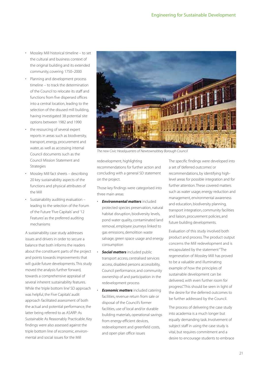- Mossley Mill historical timeline to set the cultural and business context of the original building and its extended community, covering 1750–2000
- Planning and development process timeline – to track the determination of the Council to relocate its staff and functions from five dispersed offices into a central location, leading to the selection of the disused mill building, having investigated 38 potential site options between 1982 and 1990
- the resourcing of several expert reports in areas such as biodiversity, transport, energy, procurement and water, as well as accessing internal Council documents such as the Council Mission Statement and Strategies
- Mossley Mill fact sheets describing 20 key sustainability aspects of the functions and physical attributes of the Mill
- Sustainability auditing evaluation leading to the selection of the Forum of the Future 'Five Capitals' and '12 Features' as the preferred auditing mechanisms

A sustainability case study addresses issues and drivers in order to secure a balance that both informs the readers about the constituent parts of the project and points towards improvements that will guide future developments. This study moved the analysis further forward, towards a comprehensive appraisal of several inherent sustainability features. While the 'triple bottom line' SD approach was helpful, the Five Capitals' audit approach facilitated assessment of both the actual and potential performance, the latter being referred to as ASARP: As Sustainable As Reasonably Practicable. Key findings were also assessed against the triple bottom line of economic, environmental and social issues for the Mill



The new Civic Headquarters of Newtownabbey Borough Council

redevelopment, highlighting recommendations for further action and concluding with a general SD statement on the project.

Those key findings were categorised into three main areas:

- *Environmental matters* included protected species preservation, natural habitat disruption, biodiversity levels, pond water quality, contaminated land removal, employee journeys linked to gas emissions, demolition waste salvage, green space usage and energy consumption
- **Social matters** included public transport access, centralised services access, disabled persons accessibility, Council performance, and community ownership of and participation in the redevelopment process
- *Economic matters* included catering facilities, revenue return from sale or disposal of the Council's former facilities, use of local and/or durable building materials, operational savings from energy-efficient devices, redevelopment and greenfield costs, and open plan office issues

The specific findings were developed into a set of 'deferred outcomes' or recommendations, by identifying highlevel areas for possible integration and for further attention.These covered matters such as water usage, energy reduction and management, environmental awareness and education, biodiversity planning, transport integration, community facilities and liaison, procurement policies, and future building developments.

Evaluation of this study involved both product and process. The product output concerns the Mill redevelopment and is encapsulated by the statement "The regeneration of Mossley Mill has proved to be a valuable and illuminating example of how the principles of sustainable development can be delivered, with even further room for progress". This should be seen in light of the desire for the deferred outcomes to be further addressed by the Council.

The process of delivering the case study into academia is a much longer but equally demanding task. Involvement of subject staff in using the case study is vital, but requires commitment and a desire to encourage students to embrace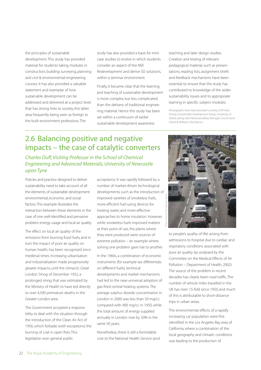the principles of sustainable development. This study has provided material for students taking modules in construction, building surveying, planning and civil & environmental engineering courses. It has also provided a valuable statement and exemplar of how sustainable development can be addressed and delivered at a project level that has strong links to society, this latter area frequently being seen as foreign to the built environment professions. The

study has also provided a basis for mini case studies to evolve in which students consider an aspect of the Mill Redevelopment and derive SD solutions, within a seminar environment.

Finally, it became clear that the learning and teaching of sustainable development is more complex, but less complicated, than the delivery of traditional engineering material. Hence this study has been set within a continuum of earlier sustainable development awareness

teaching and later design studies. Creation and testing of relevant pedagogical material, such as presentations, reading lists, assignment briefs and feedback mechanisms have been essential to ensure that the study has contributed to knowledge of the wider sustainability issues and to appropriate learning in specific subject modules.

Photographs have been provided courtesy of W Alan Strong (Sustainable Development Group, University of Ulster), along with Newtownabbey Borough Council and Ostick & Williams (Architects).

## 2.6 Balancing positive and negative impacts – the case of catalytic converters

Charles Duff, Visiting Professor in the School of Chemical Engineering and Advanced Materials, University of Newcastle upon Tyne

Policies and practice designed to deliver sustainability need to take account of all the elements of sustainable development: environmental, economic and social factors.This example illustrates the interaction between these elements in the case of one well-identified and pervasive problem: energy usage and local air quality.

The effect on local air quality of the emissions from burning fossil fuels, and in turn the impact of poor air quality on human health, has been recognised since medieval times. Increasing urbanisation and industrialisation made progressively greater impacts, until the climactic Great London Smog of December 1952, a prolonged smog that was estimated by the Ministry of Health to have led directly to over 4,500 premature deaths in the Greater London area.

The Government accepted a responsibility to deal with the situation through the introduction of the Clean Air Act of 1956, which forbade (with exceptions) the burning of coal in open fires. This legislation won general public

acceptance. It was rapidly followed by a number of market-driven technological developments, such as the introduction of improved varieties of smokeless fuels, more-efficient fuel-using devices for heating water, and more-effective approaches to home insulation. However, while smokeless fuels improved matters at their point of use, the plants where they were produced were sources of extreme pollution – an example where solving one problem gave rise to another.

In the 1960s, a combination of economic instruments (for example tax differentials on different fuels), technical developments and market mechanisms had led to the near-universal adoption of gas-fired central heating systems. The average sulphur dioxide concentration in London in 2000 was less than 50 mg/cc compared with 400 mg/cc in 1950, while the total amount of energy supplied annually in London rose by 50% in the same 50 years.

Nonetheless, there is still a formidable cost to the National Health Service (and



to people's quality of life) arising from admissions to hospital due to cardiac and respiratory conditions associated with poor air quality (as analysed by the Committee on the Medical Effects of Air Pollution – Department of Health, 2002). The source of the problem in recent decades has clearly been road traffic. The number of vehicle miles travelled in the UK has risen 15-fold since 1950, and much of this is attributable to short-distance trips in urban areas.

The environmental effects of a rapidly increasing car population were first identified in the Los Angeles Bay area of California, where a combination of the local geography and climatic conditions was leading to the production of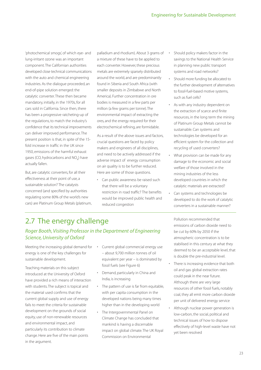'photochemical smogs', of which eye- and lung-irritant ozone was an important component. The Californian authorities developed close technical communications with the auto and chemical engineering industries. As the dialogue proceeded, an end-of-pipe solution emerged: the catalytic converter. These then became mandatory, initially, in the 1970s, for all cars sold in California. Since then, there has been a progressive ratcheting-up of the regulations, to match the industry's confidence that its technical improvements can deliver improved performance. The present position is that, in spite of the 15 fold increase in traffic in the UK since 1950, emissions of the harmful exhaust gases (CO, hydrocarbons and NO<sub>v</sub>) have actually fallen.

But, are catalytic converters, for all their effectiveness at their point of use, a sustainable solution? The catalysts concerned (and specified by authorities regulating some 80% of the world's new cars) are Platinum Group Metals (platinum, palladium and rhodium). About 3 grams of a mixture of these have to be applied to each converter. However, these precious metals are extremely sparsely distributed around the world, and are predominantly found in Siberia and South Africa (with smaller deposits in Zimbabwe and North America). Further concentration in ore bodies is measured in a few parts per million (a few grams per tonne).The environmental impact of extracting the ores, and the energy required for their electrochemical refining, are formidable.

As a result of the above issues and factors, crucial questions are faced by policy makers and engineers of all disciplines, and need to be actively addressed if the adverse impact of energy consumption on air quality is to be further reduced. Here are some of those questions.

• Can public awareness be raised such that there will be a voluntary restriction in road traffic? The benefits would be improved public health and reduced congestion

- Should policy makers factor in the savings to the National Health Service in planning new public transport systems and road networks?
- Should more funding be allocated to the further development of alternatives to fossil-fuel-based motive systems, such as fuel cells?
- As with any industry dependent on the extraction of scarce and finite resources, in the long term the mining of Platinum Group Metals cannot be sustainable. Can systems and technologies be developed for an efficient system for the collection and recycling of used converters?
- What provision can be made for any damage to the economic and social welfare of those involved in the mining industries of the less developed countries in which the catalytic materials are extracted?
- Can systems and technologies be developed to do the work of catalytic converters in a sustainable manner?

## 2.7 The energy challenge

#### Roger Booth, Visiting Professor in the Department of Engineering Science, University of Oxford

Meeting the increasing global demand for energy is one of the key challenges for sustainable development.

Teaching materials on this subject introduced at the University of Oxford have provided a rich means of interaction with students. The subject is topical and the material used confirms that the current global supply and use of energy fails to meet the criteria for sustainable development on the grounds of social equity, use of non-renewable resources and environmental impact, and particularly its contribution to climate change. Here are five of the main points in the argument.

- Current global commercial energy use – about 9,700 million tonnes of oil equivalent per year – is dominated by fossil fuels (see Figure 6)
- Demand, particularly in China and India, is increasing
- The pattern of use is far from equitable, with per capita consumption in the developed nations being many times higher than in the developing world
- The Intergovernmental Panel on Climate Change has concluded that mankind is having a discernable impact on global climate. The UK Royal Commission on Environmental

Pollution recommended that emissions of carbon dioxide need to be cut by 60% by 2050 if the atmospheric concentration is to be stabilised in this century at what they deemed to be an acceptable level, that is double the pre-industrial level.

• There is increasing evidence that both oil and gas global extraction rates could peak in the near future. Although there are very large resources of other fossil fuels, notably coal, they all emit more carbon dioxide per unit of delivered energy service • Although nuclear power generation is low-carbon, the social, political and technical issues of how to dispose effectively of high-level waste have not yet been resolved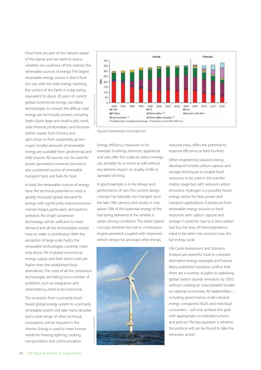Fossil fuels are part of the natural capital of the planet and we need to assess whether we could live off the interest, the renewable sources of energy. The largest renewable energy source is direct from the sun, with the total energy reaching the surface of the Earth in a day being equivalent to about 30 years of current global commercial energy use. Many technologies to convert the diffuse solar energy are technically proven, including hydro (both large and small-scale), wind, solar thermal, photovoltaics and biomass (either wastes from forestry and agriculture or from sustainably grown crops). Smaller amounts of renewable energy are available from geothermal and tidal sources. All sources can be used for power generation; however, biomass is also a potential source of renewable transport fuels and fuels for heat.

In total, the renewable sources of energy have the technical potential to meet a greatly increased global demand for energy with significantly reduced environmental impact, particularly atmospheric pollution. No single conversion technology will be sufficient to meet demand and all the technologies would have to make a contribution. With the exception of large-scale hydro, the renewable technologies currently meet only about 2% of global commercial energy supply and their direct costs are higher than the established fossil alternatives. The costs of all the conversion technologies are falling, but a number of problems, such as integration and intermittency, need to be overcome.

The evolution from a primarily fossilbased global energy system to a primarily renewable system will take many decades and a wide range of other technical innovations will be required in the interim. Energy is used to meet human needs for heating, lighting, cooking, transportation and communication.



Figure 6: Generation mix projection

Energy efficiency measures in, for example, buildings, domestic appliances and cars, offer the scope to reduce energy use, possibly by as much as half, without any adverse impact on quality of life or standard of living.

A good example is in the design and performance of cars. The current design concept has basically not changed since the late 19th century and results in only about 10% of the potential energy of the fuel being delivered at the wheels in urban driving conditions. The series hybrid concept, whether fuel cell or combustion engine powered, coupled with improved vehicle design for, amongst other things,



reduced mass, offers the potential to improve efficiency at least fourfold.

Other engineering solutions being developed include carbon capture and storage techniques to enable fossil resources to be used in the transformation stage but with reduced carbon emissions. Hydrogen is a possible future energy vector for heat, power and transport applications. If produced from renewable energy sources or fossil resources with carbon capture and storage it could be near to a 'zero carbon' fuel, but the laws of thermodynamics need to be taken into account over the full energy cycle.

Life Cycle Assessment and Scenario Analysis are powerful tools to compare alternative energy strategies and futures. Many published scenarios confirm that there are a number of paths to stabilising global carbon dioxide emissions by 2050, without creating an unacceptable burden on national economies. All stakeholders – including governments, multi-national energy companies, NGOs and individual consumers – will only achieve this goal with appropriate co-ordinated actions and policies. The key question is whether the political will can be found to take the necessary action.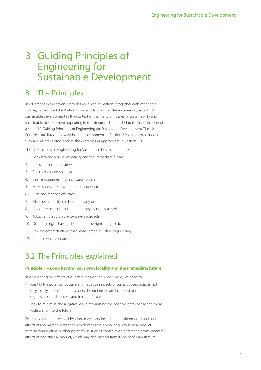# 3 Guiding Principles of Engineering for Sustainable Development

# 3.1 The Principles

Involvement in the seven examples reviewed in Section 2, together with other case studies, has enabled the Visiting Professors to consider the engineering aspects of sustainable development in the context of the many principles of sustainability and sustainable development appearing in the literature. This has led to the identification of a set of 12 Guiding Principles of Engineering for Sustainable Development. The 12 Principles are listed below without embellishment. In Section 3.2, each is explained in turn, and all are related back to the examples as appropriate in Section 3.3.

The 12 Principles of Engineering for Sustainable Development are:

- 1. Look beyond your own locality and the immediate future
- 2. Innovate and be creative
- 3. Seek a balanced solution
- 4. Seek engagement from all stakeholders
- 5. Make sure you know the needs and wants
- 6. Plan and manage effectively
- 7. Give sustainability the benefit of any doubt
- 8. If polluters must pollute… then they must pay as well
- 9. Adopt a holistic,'cradle-to-grave' approach
- 10. Do things right, having decided on the right thing to do
- 11. Beware cost reductions that masquerade as value engineering
- 12. Practice what you preach.

## 3.2 The Principles explained

#### **Principle 1 – Look beyond your own locality and the immediate future**

In considering the effects of our decisions on the wider world, we need to:

- identify the potential positive and negative impacts of our proposed actions, not only locally and soon but also outside our immediate local environment, organisation and context, and into the future
- seek to minimise the negative, while maximising the positive, both locally and more widely, and into the future

Examples where these considerations may apply include the environmental and social effects of raw material extraction, which may arise a very long way from a product manufacturing plant or other point of use such as construction, and in the environmental effects of operating a product, which may also arise far from its point of manufacture.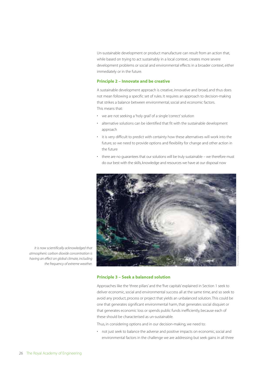Un-sustainable development or product manufacture can result from an action that, while based on trying to act sustainably in a local context, creates more severe development problems or social and environmental effects in a broader context, either immediately or in the future.

#### **Principle 2 – Innovate and be creative**

A sustainable development approach is creative, innovative and broad, and thus does not mean following a specific set of rules. It requires an approach to decision-making that strikes a balance between environmental, social and economic factors. This means that:

- we are not seeking a 'holy grail' of a single 'correct' solution
- alternative solutions can be identified that fit with the sustainable development approach
- it is very difficult to predict with certainty how these alternatives will work into the future, so we need to provide options and flexibility for change and other action in the future
- there are no guarantees that our solutions will be truly sustainable we therefore must do our best with the skills, knowledge and resources we have at our disposal now



It is now scientifically acknowledged that atmospheric carbon dioxide concentration is having an effect on global climate, including the frequency of extreme weather.

#### **Principle 3 – Seek a balanced solution**

Approaches like the 'three pillars' and the 'five capitals' explained in Section 1 seek to deliver economic, social and environmental success all at the same time, and so seek to avoid any product, process or project that yields an unbalanced solution. This could be one that generates significant environmental harm, that generates social disquiet or that generates economic loss or spends public funds inefficiently, because each of these should be characterised as un-sustainable.

Thus, in considering options and in our decision-making, we need to:

• not just seek to balance the adverse and positive impacts on economic, social and environmental factors in the challenge we are addressing but seek gains in all three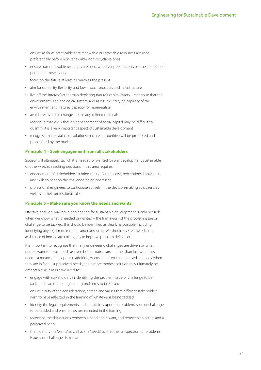- ensure, as far as practicable, that renewable or recyclable resources are used preferentially before non-renewable, non-recyclable ones
- ensure non-renewable resources are used, wherever possible, only for the creation of permanent new assets
- focus on the future at least as much as the present
- aim for durability, flexibility and low impact products and infrastructure
- live off the 'interest' rather than depleting nature's capital assets recognise that the environment is an ecological system, and assess the carrying capacity of the environment and nature's capacity for regeneration
- avoid irrecoverable changes to already-refined materials
- recognise that, even though enhancement of social capital may be difficult to quantify, it is a very important aspect of sustainable development
- recognise that sustainable solutions that are competitive will be promoted and propagated by the market

#### **Principle 4 – Seek engagement from all stakeholders**

Society will ultimately say what is needed or wanted for any development, sustainable or otherwise. So reaching decisions in this area requires:

- engagement of stakeholders to bring their different views, perceptions, knowledge and skills to bear on the challenge being addressed
- professional engineers to participate actively in the decision-making as citizens as well as in their professional roles

#### **Principle 5 – Make sure you know the needs and wants**

Effective decision-making in engineering for sustainable development is only possible when we know what is needed or wanted – the framework of the problem, issue or challenge to be tackled. This should be identified as clearly as possible, including identifying any legal requirements and constraints. We should use teamwork and assistance of immediate colleagues to improve problem definition.

It is important to recognise that many engineering challenges are driven by what people want to have – such as even better motor cars – rather than just what they need – a means of transport. In addition,'wants' are often characterised as 'needs' when they are in fact just perceived needs, and a more modest solution may ultimately be acceptable. As a result, we need to:

- engage with stakeholders in identifying the problem, issue or challenge to be tackled ahead of the engineering problems to be solved
- ensure clarity of the considerations, criteria and values that different stakeholders wish to have reflected in the framing of whatever is being tackled
- identify the legal requirements and constraints upon the problem, issue or challenge to be tackled and ensure they are reflected in the framing
- recognise the distinctions between a need and a want, and between an actual and a perceived need
- then identify the 'wants' as well as the 'needs', so that the full spectrum of problems, issues and challenges is known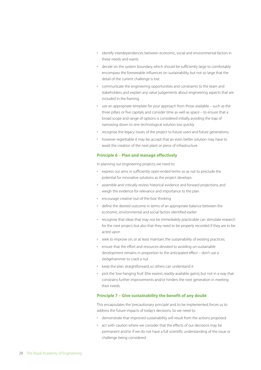- identify interdependences between economic, social and environmental factors in these needs and wants
- decide on the system boundary, which should be sufficiently large to comfortably encompass the foreseeable influences on sustainability, but not so large that the detail of the current challenge is lost
- communicate the engineering opportunities and constraints to the team and stakeholders, and explain any value judgements about engineering aspects that are included in the framing
- use an appropriate template for your approach from those available such as the three pillars or five capitals, and consider time as well as space – to ensure that a broad scope and range of options is considered initially, avoiding the trap of narrowing down to one technological solution too quickly
- recognise the legacy issues of the project to future users and future generations;
- however regrettable it may be, accept that an even better solution may have to await the creation of the next plant or piece of infrastructure

#### **Principle 6 – Plan and manage effectively**

In planning our engineering projects, we need to:

- express our aims in sufficiently open-ended terms so as not to preclude the potential for innovative solutions as the project develops
- assemble and critically review historical evidence and forward projections, and weigh the evidence for relevance and importance to the plan
- encourage creative 'out-of-the-box' thinking
- define the desired outcome in terms of an appropriate balance between the economic, environmental and social factors identified earlier
- recognise that ideas that may not be immediately practicable can stimulate research for the next project, but also that they need to be properly recorded if they are to be acted upon
- seek to improve on, or at least maintain, the sustainability of existing practices;
- ensure that the effort and resources devoted to avoiding un-sustainable development remains in proportion to the anticipated effect – don't use a sledgehammer to crack a nut
- keep the plan straightforward, so others can understand it
- pick the 'low-hanging fruit' (the easiest, readily-available gains), but not in a way that constrains further improvements and/or hinders the next generation in meeting their needs.

#### **Principle 7 – Give sustainability the benefit of any doubt**

This encapsulates the 'precautionary principle' and, to be implemented, forces us to address the future impacts of today's decisions. So we need to:

- demonstrate that improved sustainability will result from the actions proposed
- act with caution where we consider that the effects of our decisions may be permanent and/or if we do not have a full scientific understanding of the issue or challenge being considered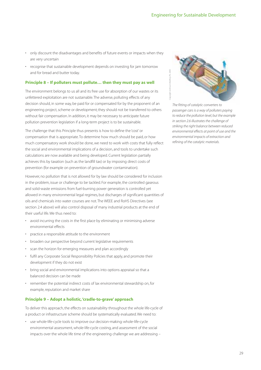- only discount the disadvantages and benefits of future events or impacts when they are very uncertain
- recognise that sustainable development depends on investing for jam tomorrow and for bread and butter today.

#### **Principle 8 – If polluters must pollute… then they must pay as well**

The environment belongs to us all and its free use for absorption of our wastes or its unfettered exploitation are not sustainable. The adverse, polluting effects of any decision should, in some way, be paid for or compensated for by the proponent of an engineering project, scheme or development; they should not be transferred to others without fair compensation. In addition, it may be necessary to anticipate future pollution prevention legislation if a long-term project is to be sustainable.

The challenge that this Principle thus presents is how to define the 'cost' or compensation that is appropriate. To determine how much should be paid, or how much compensatory work should be done, we need to work with costs that fully reflect the social and environmental implications of a decision, and tools to undertake such calculations are now available and being developed. Current legislation partially achieves this by taxation (such as the landfill tax) or by imposing direct costs of prevention (for example on prevention of groundwater contamination).

However, no pollution that is not allowed for by law should be considered for inclusion in the problem, issue or challenge to be tackled. For example, the controlled gaseous and solid-waste emissions from fuel-burning power generation is controlled yet allowed in many environmental legal regimes, but discharges of significant quantities of oils and chemicals into water courses are not. The WEEE and RoHS Directives (see section 2.4 above) will also control disposal of many industrial products at the end of their useful life. We thus need to:

- avoid incurring the costs in the first place by eliminating or minimising adverse environmental effects
- practice a responsible attitude to the environment
- broaden our perspective beyond current legislative requirements
- scan the horizon for emerging measures and plan accordingly
- fulfil any Corporate Social Responsibility Policies that apply, and promote their development if they do not exist
- bring social and environmental implications into options appraisal so that a balanced decision can be made
- remember the potential indirect costs of lax environmental stewardship on, for example, reputation and market share

#### **Principle 9 – Adopt a holistic,'cradle-to-grave' approach**

To deliver this approach, the effects on sustainability throughout the whole life-cycle of a product or infrastructure scheme should be systematically evaluated. We need to:

• use whole-life-cycle tools to improve our decision-making: whole-life-cycle environmental assessment, whole-life-cycle costing, and assessment of the social impacts over the whole life time of the engineering challenge we are addressing –



The fitting of catalytic converters to passenger cars is a way of polluters paying to reduce the pollution level, but the example in section 2.6 illustrates the challenge of striking the right balance between reduced environmental effects at point of use and the environmental impacts of extraction and refining of the catalytic materials.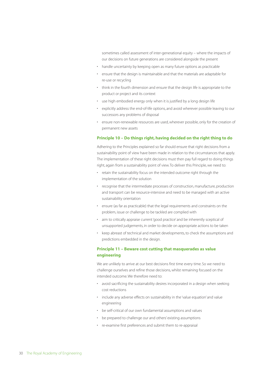sometimes called assessment of inter-generational equity – where the impacts of our decisions on future generations are considered alongside the present

- handle uncertainty by keeping open as many future options as practicable
- ensure that the design is maintainable and that the materials are adaptable for re-use or recycling
- think in the fourth dimension and ensure that the design life is appropriate to the product or project and its context
- use high embodied energy only when it is justified by a long design life
- explicitly address the end-of-life options, and avoid wherever possible leaving to our successors any problems of disposal
- ensure non-renewable resources are used, wherever possible, only for the creation of permanent new assets

#### **Principle 10 – Do things right, having decided on the right thing to do**

Adhering to the Principles explained so far should ensure that right decisions from a sustainability point of view have been made in relation to the circumstances that apply. The implementation of these right decisions must then pay full regard to doing things right, again from a sustainability point of view. To deliver this Principle, we need to:

- retain the sustainability focus on the intended outcome right through the implementation of the solution
- recognise that the intermediate processes of construction, manufacture, production and transport can be resource-intensive and need to be managed with an active sustainability orientation
- ensure (as far as practicable) that the legal requirements and constraints on the problem, issue or challenge to be tackled are complied with
- aim to critically appraise current 'good practice' and be inherently sceptical of unsupported judgements, in order to decide on appropriate actions to be taken
- keep abreast of technical and market developments, to check the assumptions and predictions embedded in the design.

#### **Principle 11 – Beware cost cutting that masquerades as value engineering**

We are unlikely to arrive at our best decisions first time every time. So we need to challenge ourselves and refine those decisions, whilst remaining focused on the intended outcome. We therefore need to:

- avoid sacrificing the sustainability desires incorporated in a design when seeking cost reductions
- include any adverse effects on sustainability in the 'value equation' and value engineering
- be self-critical of our own fundamental assumptions and values
- be prepared to challenge our and others' existing assumptions
- re-examine first preferences and submit them to re-appraisal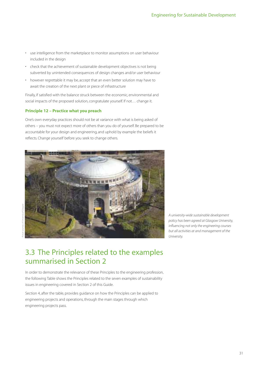- use intelligence from the marketplace to monitor assumptions on user behaviour included in the design
- check that the achievement of sustainable development objectives is not being subverted by unintended consequences of design changes and/or user behaviour
- however regrettable it may be, accept that an even better solution may have to await the creation of the next plant or piece of infrastructure

Finally, if satisfied with the balance struck between the economic, environmental and social impacts of the proposed solution, congratulate yourself. If not… change it.

#### **Principle 12 – Practice what you preach**

One's own everyday practices should not be at variance with what is being asked of others – you must not expect more of others than you do of yourself. Be prepared to be accountable for your design and engineering, and uphold by example the beliefs it reflects. Change yourself before you seek to change others.



A university-wide sustainable development policy has been agreed at Glasgow University, influencing not only the engineering courses but all activities at and management of the University.

## 3.3 The Principles related to the examples summarised in Section 2

In order to demonstrate the relevance of these Principles to the engineering profession, the following Table shows the Principles related to the seven examples of sustainability issues in engineering covered in Section 2 of this Guide.

Section 4, after the table, provides guidance on how the Principles can be applied to engineering projects and operations, through the main stages through which engineering projects pass.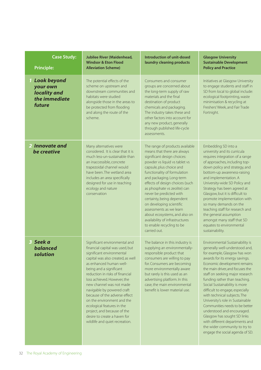| <b>Case Study:</b><br><b>Principle:</b>                                     | <b>Jubilee River (Maidenhead,</b><br><b>Windsor &amp; Eton Flood</b><br><b>Alleviation Scheme)</b>                                                                                                                                                                                                                                                                                                                                                                                                                 | Introduction of unit-dosed<br>laundry cleaning products                                                                                                                                                                                                                                                                                                                                                                                                                                                                    | <b>Glasgow University</b><br><b>Sustainable Development</b><br><b>Policy and Practice</b>                                                                                                                                                                                                                                                                                                                                                                                                                                                                                                                                |
|-----------------------------------------------------------------------------|--------------------------------------------------------------------------------------------------------------------------------------------------------------------------------------------------------------------------------------------------------------------------------------------------------------------------------------------------------------------------------------------------------------------------------------------------------------------------------------------------------------------|----------------------------------------------------------------------------------------------------------------------------------------------------------------------------------------------------------------------------------------------------------------------------------------------------------------------------------------------------------------------------------------------------------------------------------------------------------------------------------------------------------------------------|--------------------------------------------------------------------------------------------------------------------------------------------------------------------------------------------------------------------------------------------------------------------------------------------------------------------------------------------------------------------------------------------------------------------------------------------------------------------------------------------------------------------------------------------------------------------------------------------------------------------------|
| <b>1 Look beyond</b><br>your own<br>locality and<br>the immediate<br>future | The potential effects of the<br>scheme on upstream and<br>downstream communities and<br>habitats were studied<br>alongside those in the areas to<br>be protected from flooding<br>and along the route of the<br>scheme.                                                                                                                                                                                                                                                                                            | Consumers and consumer<br>groups are concerned about<br>the long-term supply of raw<br>materials and the final<br>destination of product<br>chemicals and packaging.<br>The industry takes these and<br>other factors into account for<br>any new product, generally<br>through published life-cycle<br>assessments.                                                                                                                                                                                                       | Initiatives at Glasgow University<br>to engage students and staff in<br>SD from local to global include:<br>ecological footprinting, waste<br>minimisation & recycling at<br>Freshers' Week, and Fair Trade<br>Fortnight.                                                                                                                                                                                                                                                                                                                                                                                                |
| 2 Innovate and<br>be creative                                               | Many alternatives were<br>considered. It is clear that it is<br>much less-un-sustainable than<br>an inaccessible, concrete<br>trapezoidal channel would<br>have been. The wetland area<br>includes an area specifically<br>designed for use in teaching<br>ecology and nature<br>conservation                                                                                                                                                                                                                      | The range of products available<br>means that there are always<br>significant design choices:<br>powder vs liquid vs tablet vs<br>capsule, plus choice and<br>functionality of formulation<br>and packaging. Long-term<br>effects of design choices (such<br>as phosphate vs zeolite) can<br>never be predicted with<br>certainty, being dependent<br>on developing scientific<br>assessments as we learn<br>about ecosystems, and also on<br>availability of infrastructures<br>to enable recycling to be<br>carried out. | Embedding SD into a<br>university and its curricula<br>requires integration of a range<br>of approaches, including top-<br>down policy and strategy, and<br>bottom-up awareness-raising<br>and implementation. A<br>University-wide SD Policy and<br>Strategy has been agreed at<br>Glasgow, but it is difficult to<br>promote implementation with<br>so many demands on the<br>teaching staff for research and<br>the general assumption<br>amongst many staff that SD<br>equates to environmental<br>sustainability.                                                                                                   |
| 3 Seek a<br>balanced<br>solution                                            | Significant environmental and<br>financial capital was used, but<br>significant environmental<br>capital was also created, as well<br>as enhanced human well-<br>being and a significant<br>reduction in risks of financial<br>loss achieved. However, the<br>new channel was not made<br>navigable by powered craft<br>because of the adverse effect<br>on the environment and the<br>ecological features in the<br>project, and because of the<br>desire to create a haven for<br>wildlife and quiet recreation. | The balance in this industry is<br>supplying an environmentally-<br>responsible product that<br>consumers are willing to pay<br>for. Consumers are becoming<br>more environmentally aware<br>but rarely is this used as an<br>advertising platform. In this<br>case, the main environmental<br>benefit is lower material use.                                                                                                                                                                                              | Environmental Sustainability is<br>generally well-understood and,<br>for example, Glasgow has won<br>awards for its energy savings.<br>Economic development remains<br>the main driver, and focuses the<br>staff on seeking major research<br>funding rather than teaching.<br>Social Sustainability is more<br>difficult to engage, especially<br>with technical subjects. The<br>University's role in Sustainable<br>Communities needs to be better<br>understood and encouraged.<br>Glasgow has sought SD links<br>with different departments and<br>the wider community to try to<br>engage the social agenda of SD. |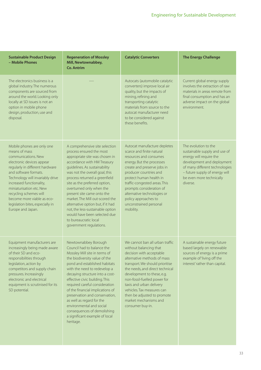| <b>Sustainable Product Design</b><br>- Mobile Phones                                                                                                                                                                                                                                                                                                                     | <b>Regeneration of Mossley</b><br>Mill, Newtownabbey,<br><b>Co. Antrim</b>                                                                                                                                                                                                                                                                                                                                                                                                                                                 | <b>Catalytic Converters</b>                                                                                                                                                                                                                                                                                                                                                                    | <b>The Energy Challenge</b>                                                                                                                                                                                                |
|--------------------------------------------------------------------------------------------------------------------------------------------------------------------------------------------------------------------------------------------------------------------------------------------------------------------------------------------------------------------------|----------------------------------------------------------------------------------------------------------------------------------------------------------------------------------------------------------------------------------------------------------------------------------------------------------------------------------------------------------------------------------------------------------------------------------------------------------------------------------------------------------------------------|------------------------------------------------------------------------------------------------------------------------------------------------------------------------------------------------------------------------------------------------------------------------------------------------------------------------------------------------------------------------------------------------|----------------------------------------------------------------------------------------------------------------------------------------------------------------------------------------------------------------------------|
| The electronics business is a<br>global industry. The numerous<br>components are sourced from<br>around the world. Looking only<br>locally at SD issues is not an<br>option in mobile phone<br>design, production, use and<br>disposal.                                                                                                                                  |                                                                                                                                                                                                                                                                                                                                                                                                                                                                                                                            | Autocats (automobile catalytic<br>converters) improve local air<br>quality, but the impacts of<br>mining, refining and<br>transporting catalytic<br>materials from source to the<br>autocat manufacturer need<br>to be considered against<br>these benefits.                                                                                                                                   | Current global energy supply<br>involves the extraction of raw<br>materials in areas remote from<br>final consumption and has an<br>adverse impact on the global<br>environment.                                           |
| Mobile phones are only one<br>means of mass<br>communications. New<br>electronic devices appear<br>regularly in different hardware<br>and software formats.<br>Technology will invariably drive<br>increased functionality,<br>miniaturisation etc. New<br>recycling schemes will<br>become more viable as eco-<br>legislation bites, especially in<br>Europe and Japan. | A comprehensive site selection<br>process ensured the most<br>appropriate site was chosen in<br>accordance with HM Treasury<br>guidelines. As sustainability<br>was not the overall goal, this<br>process returned a greenfield<br>site as the preferred option,<br>overturned only when the<br>present site came onto the<br>market. The Mill out-scored the<br>alternative option but, if it had<br>not, the less-sustainable option<br>would have been selected due<br>to bureaucratic local<br>government regulations. | Autocat manufacture depletes<br>scarce and finite natural<br>resources and consumes<br>energy. But the processes<br>create and preserve jobs in<br>producer countries and<br>protect human health in<br>traffic-congested areas. This<br>prompts consideration of<br>alternative technologies or<br>policy approaches to<br>unconstrained personal<br>mobility.                                | The evolution to the<br>sustainable supply and use of<br>energy will require the<br>development and deployment<br>of many different technologies<br>- future supply of energy will<br>be even more technically<br>diverse. |
| Equipment manufacturers are<br>increasingly being made aware<br>of their SD and eco-<br>responsibilities through<br>legislation, action by<br>competitors and supply chain<br>pressures. Increasingly<br>electronic and electrical<br>equipment is scrutinised for its<br>SD potential.                                                                                  | Newtownabbey Borough<br>Council had to balance the<br>Mossley Mill site in terms of<br>the biodiversity value of the<br>pond and established habitats<br>with the need to redevelop a<br>decaying structure into a cost-<br>effective civic building. This<br>required careful consideration<br>of the financial implications of<br>preservation and conservation,<br>as well as regard for the<br>environmental and social<br>consequences of demolishing<br>a significant example of local<br>heritage.                  | We cannot ban all urban traffic<br>without balancing that<br>decision with acceptable<br>alternative methods of mass<br>transport. We should prioritise<br>the needs, and direct technical<br>development to these, e.g.<br>non-fossil-fuelled power for<br>taxis and urban delivery<br>vehicles. Tax measures can<br>then be adjusted to promote<br>market mechanisms and<br>consumer buy-in. | A sustainable energy future<br>based largely on renewable<br>sources of energy is a prime<br>example of 'living off the<br>interest' rather than capital.                                                                  |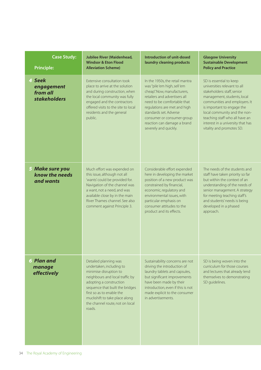| <b>Case Study:</b><br><b>Principle:</b>                 | <b>Jubilee River (Maidenhead,</b><br><b>Windsor &amp; Eton Flood</b><br><b>Alleviation Scheme)</b>                                                                                                                                                                                      | Introduction of unit-dosed<br>laundry cleaning products                                                                                                                                                                                                                                                        | <b>Glasgow University</b><br><b>Sustainable Development</b><br><b>Policy and Practice</b>                                                                                                                                                                                                                                |  |
|---------------------------------------------------------|-----------------------------------------------------------------------------------------------------------------------------------------------------------------------------------------------------------------------------------------------------------------------------------------|----------------------------------------------------------------------------------------------------------------------------------------------------------------------------------------------------------------------------------------------------------------------------------------------------------------|--------------------------------------------------------------------------------------------------------------------------------------------------------------------------------------------------------------------------------------------------------------------------------------------------------------------------|--|
| 4 Seek<br>engagement<br>from all<br><b>stakeholders</b> | Extensive consultation took<br>place to arrive at the solution<br>and during construction, when<br>the local community was fully<br>engaged and the contractors<br>offered visits to the site to local<br>residents and the general<br>public.                                          | In the 1950s, the retail mantra<br>was "pile 'em high, sell 'em<br>cheap". Now, manufacturers,<br>retailers and advertisers all<br>need to be comfortable that<br>regulations are met and high<br>standards set. Adverse<br>consumer or consumer-group<br>reaction can damage a brand<br>severely and quickly. | SD is essential to keep<br>universities relevant to all<br>stakeholders: staff, senior<br>management, students, local<br>communities and employers. It<br>is important to engage the<br>local community and the non-<br>teaching staff who all have an<br>interest in a university that has<br>vitality and promotes SD. |  |
| 5 Make sure you<br>know the needs<br>and wants          | Much effort was expended on<br>this issue, although not all<br>'wants' could be provided for.<br>Navigation of the channel was<br>a want, not a need, and was<br>available close by in the main<br>River Thames channel. See also<br>comment against Principle 3.                       | Considerable effort expended<br>here in developing the market<br>position of a new product was<br>constrained by financial,<br>economic, regulatory and<br>environmental issues, with<br>particular emphasis on<br>consumer attitudes to the<br>product and its effects.                                       | The needs of the students and<br>staff have taken priority so far<br>but within the context of an<br>understanding of the needs of<br>senior management. A strategy<br>for meeting teaching staff's<br>and students' needs is being<br>developed in a phased<br>approach.                                                |  |
| <b>6 Plan and</b><br>manage<br>effectively              | Detailed planning was<br>undertaken, including to<br>minimise disruption to<br>neighbours and local traffic by<br>adopting a construction<br>sequence that built the bridges<br>first so as to enable the<br>muckshift to take place along<br>the channel route, not on local<br>roads. | Sustainability concerns are not<br>driving the introduction of<br>laundry tablets and capsules,<br>but significant improvements<br>have been made by their<br>introduction, even if this is not<br>made explicit to the consumer<br>in advertisements.                                                         | SD is being woven into the<br>curriculum for those courses<br>and lectures that already lend<br>themselves to demonstrating<br>SD guidelines.                                                                                                                                                                            |  |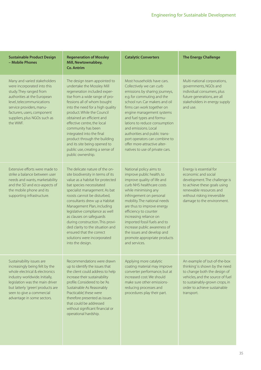| <b>Sustainable Product Design</b><br>- Mobile Phones                                                                                                                                                                                                               | <b>Regeneration of Mossley</b><br>Mill, Newtownabbey,<br><b>Co. Antrim</b>                                                                                                                                                                                                                                                                                                                                                                                                              | <b>Catalytic Converters</b>                                                                                                                                                                                                                                                                                                                                                                                                                    | <b>The Energy Challenge</b>                                                                                                                                                                                         |
|--------------------------------------------------------------------------------------------------------------------------------------------------------------------------------------------------------------------------------------------------------------------|-----------------------------------------------------------------------------------------------------------------------------------------------------------------------------------------------------------------------------------------------------------------------------------------------------------------------------------------------------------------------------------------------------------------------------------------------------------------------------------------|------------------------------------------------------------------------------------------------------------------------------------------------------------------------------------------------------------------------------------------------------------------------------------------------------------------------------------------------------------------------------------------------------------------------------------------------|---------------------------------------------------------------------------------------------------------------------------------------------------------------------------------------------------------------------|
| Many and varied stakeholders<br>were incorporated into this<br>study. They ranged from<br>authorities at the European<br>level, telecommunications<br>service providers, manu-<br>facturers, users, component<br>suppliers, plus NGOs such as<br>the WWF.          | The design team appointed to<br>undertake the Mossley Mill<br>regeneration included exper-<br>tise from a wide range of pro-<br>fessions all of whom bought<br>into the need for a high quality<br>product. While the Council<br>obtained an efficient and<br>effective centre, the local<br>community has been<br>integrated into the final<br>product through the building<br>and its site being opened to<br>public use, creating a sense of<br>public ownership.                    | Most households have cars.<br>Collectively we can curb<br>emissions by sharing journeys,<br>e.g. for commuting and the<br>school run. Car makers and oil<br>firms can work together on<br>engine management systems<br>and fuel types and formu-<br>lations to reduce consumption<br>and emissions. Local<br>authorities and public trans-<br>port operators can combine to<br>offer more-attractive alter-<br>natives to use of private cars. | Multi-national corporations,<br>governments, NGOs and<br>individual consumers, plus<br>future generations, are all<br>stakeholders in energy supply<br>and use.                                                     |
| Extensive efforts were made to<br>strike a balance between user<br>needs and wants, marketability<br>and the SD and eco-aspects of<br>the mobile phone and its<br>supporting infrastructure.                                                                       | The delicate nature of the on-<br>site biodiversity in terms of its<br>value as a habitat for protected<br>bat species necessitated<br>specialist management. As bat<br>roosts cannot be disturbed,<br>consultants drew up a Habitat<br>Management Plan, including<br>legislative compliance as well<br>as clauses on safeguards<br>during construction. This provi-<br>ded clarity to the situation and<br>ensured that the correct<br>solutions were incorporated<br>into the design. | National policy aims to<br>improve public health, to<br>improve quality of life and<br>curb NHS healthcare costs<br>while minimising any<br>infringement on personal<br>mobility. The national needs<br>are thus to improve energy<br>efficiency to counter<br>increasing reliance on<br>imported fossil fuels and to<br>increase public awareness of<br>the issues and develop and<br>promote appropriate products<br>and services.           | Energy is essential for<br>economic and social<br>development. The challenge is<br>to achieve these goals using<br>renewable resources and<br>without risking irreversible<br>damage to the environment.            |
| Sustainability issues are<br>increasingly being felt by the<br>whole electrical & electronics<br>industry worldwide. Initially,<br>legislation was the main driver<br>but latterly 'green' products are<br>seen to give a commercial<br>advantage in some sectors. | Recommendations were drawn<br>up to identify the issues that<br>the client could address to help<br>increase their sustainability<br>profile. Considered to be 'As<br>Sustainable As Reasonably<br>Practicable', these were<br>therefore presented as issues<br>that could be addressed<br>without significant financial or<br>operational hardship.                                                                                                                                    | Applying more catalytic<br>coating material may improve<br>converter performance, but at<br>increased cost. We should<br>make sure other emissions-<br>reducing processes and<br>procedures play their part.                                                                                                                                                                                                                                   | An example of 'out-of-the-box<br>thinking' is shown by the need<br>to change both the design of<br>vehicles, and the source of fuel<br>to sustainably-grown crops, in<br>order to achieve sustainable<br>transport. |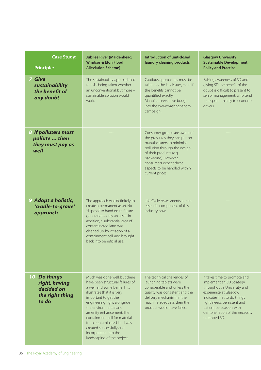| <b>Case Study:</b><br><b>Principle:</b>                                        | <b>Jubilee River (Maidenhead,</b><br><b>Windsor &amp; Eton Flood</b><br><b>Alleviation Scheme)</b>                                                                                                                                                                                                                                                                                             | Introduction of unit-dosed<br>laundry cleaning products                                                                                                                                                                                                    | <b>Glasgow University</b><br><b>Sustainable Development</b><br><b>Policy and Practice</b>                                                                                                                                                                      |  |
|--------------------------------------------------------------------------------|------------------------------------------------------------------------------------------------------------------------------------------------------------------------------------------------------------------------------------------------------------------------------------------------------------------------------------------------------------------------------------------------|------------------------------------------------------------------------------------------------------------------------------------------------------------------------------------------------------------------------------------------------------------|----------------------------------------------------------------------------------------------------------------------------------------------------------------------------------------------------------------------------------------------------------------|--|
| <b>7 Give</b><br>sustainability<br>the benefit of<br>any doubt                 | The sustainability approach led<br>to risks being taken whether<br>an unconventional, but more -<br>sustainable, solution would<br>work.                                                                                                                                                                                                                                                       | Cautious approaches must be<br>taken on the key issues, even if<br>the benefits cannot be<br>quantified exactly.<br>Manufacturers have bought<br>into the www.washright.com<br>campaign.                                                                   | Raising awareness of SD and<br>giving SD the benefit of the<br>doubt is difficult to present to<br>senior management, who tend<br>to respond mainly to economic<br>drivers.                                                                                    |  |
| 8 If polluters must<br>pollute  then<br>they must pay as<br>well               |                                                                                                                                                                                                                                                                                                                                                                                                | Consumer groups are aware of<br>the pressures they can put on<br>manufacturers to minimise<br>pollution through the design<br>of their products (e.g.<br>packaging). However,<br>consumers expect these<br>aspects to be handled within<br>current prices. |                                                                                                                                                                                                                                                                |  |
| 9 Adopt a holistic,<br>'cradle-to-grave'<br>approach                           | The approach was definitely to<br>create a permanent asset. No<br>'disposal' to hand on to future<br>generations, only an asset. In<br>addition, a substantial area of<br>contaminated land was<br>cleaned up, by creation of a<br>containment cell, and brought<br>back into beneficial use.                                                                                                  | Life-Cycle Assessments are an<br>essential component of this<br>industry now.                                                                                                                                                                              |                                                                                                                                                                                                                                                                |  |
| <b>10 Do things</b><br>right, having<br>decided on<br>the right thing<br>to do | Much was done well, but there<br>have been structural failures of<br>a weir and some banks. This<br>illustrates that it is very<br>important to get the<br>engineering right alongside<br>the environmental and<br>amenity enhancement. The<br>containment cell for material<br>from contaminated land was<br>created successfully and<br>incorporated into the<br>landscaping of the project. | The technical challenges of<br>launching tablets were<br>considerable and, unless the<br>quality was consistent and the<br>delivery mechanism in the<br>machine adequate, then the<br>product would have failed.                                           | It takes time to promote and<br>implement an SD Strategy<br>throughout a University, and<br>experience at Glasgow<br>indicates that to 'do things<br>right' needs persistent and<br>patient persuasion, with<br>demonstration of the necessity<br>to embed SD. |  |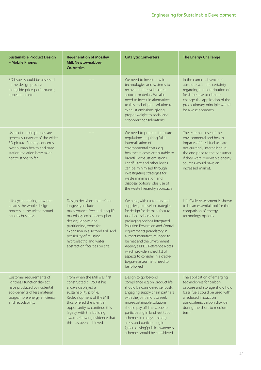| <b>Sustainable Product Design</b><br>- Mobile Phones                                                                                                                               | <b>Regeneration of Mossley</b><br>Mill, Newtownabbey,<br><b>Co. Antrim</b>                                                                                                                                                                                                                         | <b>Catalytic Converters</b>                                                                                                                                                                                                                                                                                                                                                                                                                        | <b>The Energy Challenge</b>                                                                                                                                                                                                                |
|------------------------------------------------------------------------------------------------------------------------------------------------------------------------------------|----------------------------------------------------------------------------------------------------------------------------------------------------------------------------------------------------------------------------------------------------------------------------------------------------|----------------------------------------------------------------------------------------------------------------------------------------------------------------------------------------------------------------------------------------------------------------------------------------------------------------------------------------------------------------------------------------------------------------------------------------------------|--------------------------------------------------------------------------------------------------------------------------------------------------------------------------------------------------------------------------------------------|
| SD issues should be assessed<br>in the design process<br>alongside price, performance,<br>appearance etc.                                                                          |                                                                                                                                                                                                                                                                                                    | We need to invest now in<br>technologies and systems to<br>recover and recycle scarce<br>autocat materials. We also<br>need to invest in alternatives<br>to this end-of-pipe solution to<br>exhaust emissions, giving<br>proper weight to social and<br>economic considerations.                                                                                                                                                                   | In the current absence of<br>absolute scientific certainty<br>regarding the contribution of<br>fossil fuel use to climate<br>change, the application of the<br>precautionary principle would<br>be a wise approach.                        |
| Users of mobile phones are<br>generally unaware of the wider<br>SD picture. Primary concerns<br>over human health and base<br>station radiation have taken<br>centre stage so far. |                                                                                                                                                                                                                                                                                                    | We need to prepare for future<br>regulations requiring fuller<br>internalisation of<br>environmental costs, e.g.<br>healthcare costs attributable to<br>harmful exhaust emissions.<br>Landfill tax and other levies<br>can be minimised through<br>investigating strategies for<br>waste minimisation and<br>disposal options, plus use of<br>the waste hierarchy approach.                                                                        | The external costs of the<br>environmental and health<br>impacts of fossil fuel use are<br>not currently internalised in<br>the end price to the consumer.<br>If they were, renewable energy<br>sources would have an<br>increased market. |
| Life-cycle thinking now per-<br>colates the whole design<br>process in the telecommuni-<br>cations business.                                                                       | Design decisions that reflect<br>longevity include<br>maintenance-free and long-life<br>materials; flexible open-plan<br>design; lightweight<br>partitioning; room for<br>expansion in a second Mill; and<br>possibility of re-using<br>hydroelectric and water<br>abstraction facilities on site. | We need, with customers and<br>suppliers, to develop strategies<br>for design for de-manufacture,<br>take-back schemes and<br>packaging options. Integrated<br>Pollution Prevention and Control<br>requirements (mandatory in<br>autocat manufacture) need to<br>be met, and the Environment<br>Agency's BPEO Reference Notes,<br>which provide a checklist of<br>aspects to consider in a cradle-<br>to-grave assessment, need to<br>be followed. | Life Cycle Assessment is shown<br>to be an essential tool for the<br>comparison of energy<br>technology options.                                                                                                                           |
| Customer requirements of<br>lightness, functionality etc<br>have produced coincidental<br>eco-benefits of less material<br>usage, more energy efficiency<br>and recyclability.     | From when the Mill was first<br>constructed c.1750, it has<br>always displayed a<br>sustainability profile.<br>Redevelopment of the Mill<br>thus offered the client an<br>opportunity to continue this<br>legacy, with the building<br>awards showing evidence that<br>this has been achieved.     | Design to go 'beyond<br>compliance' e.g. on product life<br>should be considered seriously.<br>Engaging supply chain partners<br>with the joint effort to seek<br>more-sustainable solutions<br>should pay off. The scope for<br>participating in land restitution<br>schemes in catalyst mining<br>areas, and participating in<br>'green driving' public awareness<br>schemes should be considered.                                               | The application of emerging<br>technologies for carbon<br>capture and storage show how<br>fossil fuels could be used with<br>a reduced impact on<br>atmospheric carbon dioxide<br>during the short to medium<br>term.                      |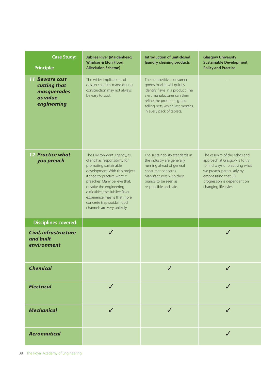| <b>Case Study:</b><br><b>Principle:</b>                                         | <b>Jubilee River (Maidenhead,</b><br><b>Windsor &amp; Eton Flood</b><br><b>Alleviation Scheme)</b>                                                                                                                                                                                                                                                                                                                                                                                                                                                 | Introduction of unit-dosed<br>laundry cleaning products                                                                                                                                                                  | <b>Glasgow University</b><br><b>Sustainable Development</b><br><b>Policy and Practice</b>                                                                                                                    |
|---------------------------------------------------------------------------------|----------------------------------------------------------------------------------------------------------------------------------------------------------------------------------------------------------------------------------------------------------------------------------------------------------------------------------------------------------------------------------------------------------------------------------------------------------------------------------------------------------------------------------------------------|--------------------------------------------------------------------------------------------------------------------------------------------------------------------------------------------------------------------------|--------------------------------------------------------------------------------------------------------------------------------------------------------------------------------------------------------------|
| <b>11 Beware cost</b><br>cutting that<br>masquerades<br>as value<br>engineering | The wider implications of<br>design changes made during<br>construction may not always<br>be easy to spot.                                                                                                                                                                                                                                                                                                                                                                                                                                         | The competitive consumer<br>goods market will quickly<br>identify flaws in a product. The<br>alert manufacturer can then<br>refine the product e.g. not<br>selling nets, which last months,<br>in every pack of tablets. |                                                                                                                                                                                                              |
| <b>12 Practice what</b><br>you preach                                           | The sustainability standards in<br>The Environment Agency, as<br>client, has responsibility for<br>the industry are generally<br>promoting sustainable<br>running ahead of general<br>development. With this project<br>consumer concerns.<br>it tried to 'practice what it<br>Manufacturers wish their<br>preaches'. Many believe that,<br>brands to be seen as<br>despite the engineering<br>responsible and safe.<br>difficulties, the Jubilee River<br>experience means that more<br>concrete trapezoidal flood<br>channels are very unlikely. |                                                                                                                                                                                                                          | The essence of the ethos and<br>approach at Glasgow is to try<br>to find ways of practising what<br>we preach, particularly by<br>emphasising that SD<br>progression is dependent on<br>changing lifestyles. |
| <b>Disciplines covered:</b>                                                     |                                                                                                                                                                                                                                                                                                                                                                                                                                                                                                                                                    |                                                                                                                                                                                                                          |                                                                                                                                                                                                              |
| <b>Civil, infrastructure</b><br>and built<br>environment                        |                                                                                                                                                                                                                                                                                                                                                                                                                                                                                                                                                    |                                                                                                                                                                                                                          |                                                                                                                                                                                                              |
| <b>Chemical</b>                                                                 |                                                                                                                                                                                                                                                                                                                                                                                                                                                                                                                                                    |                                                                                                                                                                                                                          |                                                                                                                                                                                                              |
| <b>Electrical</b>                                                               |                                                                                                                                                                                                                                                                                                                                                                                                                                                                                                                                                    |                                                                                                                                                                                                                          |                                                                                                                                                                                                              |
| <b>Mechanical</b>                                                               |                                                                                                                                                                                                                                                                                                                                                                                                                                                                                                                                                    | $\checkmark$                                                                                                                                                                                                             |                                                                                                                                                                                                              |
| <b>Aeronautical</b>                                                             |                                                                                                                                                                                                                                                                                                                                                                                                                                                                                                                                                    |                                                                                                                                                                                                                          | J                                                                                                                                                                                                            |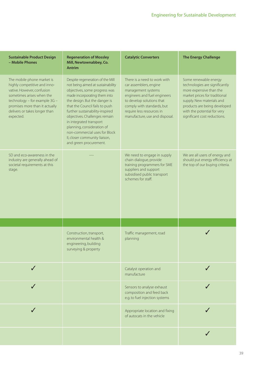| <b>Sustainable Product Design</b><br>- Mobile Phones                                                                                                                                                                                   | <b>Regeneration of Mossley</b><br>Mill, Newtownabbey, Co.<br><b>Antrim</b>                                                                                                                                                                                                                                                                                                                                                         | <b>Catalytic Converters</b>                                                                                                                                                                                                            | <b>The Energy Challenge</b>                                                                                                                                                                                                                     |
|----------------------------------------------------------------------------------------------------------------------------------------------------------------------------------------------------------------------------------------|------------------------------------------------------------------------------------------------------------------------------------------------------------------------------------------------------------------------------------------------------------------------------------------------------------------------------------------------------------------------------------------------------------------------------------|----------------------------------------------------------------------------------------------------------------------------------------------------------------------------------------------------------------------------------------|-------------------------------------------------------------------------------------------------------------------------------------------------------------------------------------------------------------------------------------------------|
| The mobile phone market is<br>highly competitive and inno-<br>vative. However, confusion<br>sometimes arises when the<br>technology - for example 3G -<br>promises more than it actually<br>delivers or takes longer than<br>expected. | Despite regeneration of the Mill<br>not being aimed at sustainability<br>objectives, some progress was<br>made incorporating them into<br>the design. But the danger is<br>that the Council fails to push<br>further sustainability-inspired<br>objectives. Challenges remain<br>in integrated transport<br>planning, consideration of<br>non-commercial uses for Block<br>II, closer community liaison,<br>and green procurement. | There is a need to work with<br>car assemblers, engine<br>management systems<br>engineers and fuel engineers<br>to develop solutions that<br>comply with standards, but<br>require less resources in<br>manufacture, use and disposal. | Some renewable energy<br>technologies are significantly<br>more expensive than the<br>market prices for traditional<br>supply. New materials and<br>products are being developed<br>with the potential for very<br>significant cost reductions. |
| SD and eco-awareness in the<br>industry are generally ahead of<br>societal requirements at this<br>stage.                                                                                                                              |                                                                                                                                                                                                                                                                                                                                                                                                                                    | We need to engage in supply<br>chain dialogue, provide<br>training programmers for SME<br>suppliers and support<br>subsidised public transport<br>schemes for staff.                                                                   | We are all users of energy and<br>should put energy efficiency at<br>the top of our buying criteria.                                                                                                                                            |
|                                                                                                                                                                                                                                        |                                                                                                                                                                                                                                                                                                                                                                                                                                    |                                                                                                                                                                                                                                        |                                                                                                                                                                                                                                                 |
|                                                                                                                                                                                                                                        | Construction, transport,<br>environmental health &<br>engineering, building<br>surveying & property                                                                                                                                                                                                                                                                                                                                | Traffic management, road<br>planning                                                                                                                                                                                                   |                                                                                                                                                                                                                                                 |
|                                                                                                                                                                                                                                        |                                                                                                                                                                                                                                                                                                                                                                                                                                    | Catalyst operation and<br>manufacture                                                                                                                                                                                                  |                                                                                                                                                                                                                                                 |
|                                                                                                                                                                                                                                        |                                                                                                                                                                                                                                                                                                                                                                                                                                    | Sensors to analyse exhaust<br>composition and feed back<br>e.g. to fuel injection systems                                                                                                                                              |                                                                                                                                                                                                                                                 |
|                                                                                                                                                                                                                                        |                                                                                                                                                                                                                                                                                                                                                                                                                                    | Appropriate location and fixing<br>of autocats in the vehicle                                                                                                                                                                          |                                                                                                                                                                                                                                                 |
|                                                                                                                                                                                                                                        |                                                                                                                                                                                                                                                                                                                                                                                                                                    |                                                                                                                                                                                                                                        |                                                                                                                                                                                                                                                 |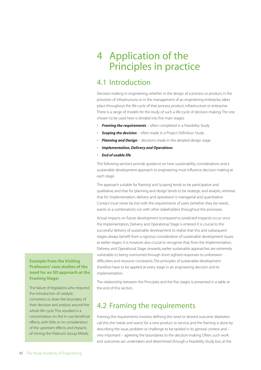# 4 Application of the Principles in practice

## 4.1 Introduction

Decision-making in engineering, whether in the design of a process or product, in the provision of infrastructure, or in the management of an engineering enterprise, takes place throughout the life-cycle of that process, product, infrastructure or enterprise. There is a range of models for the study of such a life-cycle of decision-making. The one chosen to be used here is divided into five main stages:

- **Framing the requirements** often completed in a Feasibility Study
- **Scoping the decision** often made in a Project Definition Study
- *Planning and Design* decisions made in the detailed design stage
- *Implementation, Delivery and Operations*
- *End of usable life*

The following sections provide guidance on how sustainability considerations and a sustainable development approach to engineering must influence decision-making at each stage.

The approach suitable for 'framing' and 'scoping' tends to be participative and qualitative, and that for 'planning and design' tends to be strategic and analytic, whereas that for 'implementation, delivery and operations' is managerial and quantitative. Contact must never be lost with the requirements of users (whether they be needs, wants or a combination) nor with other stakeholders throughout the processes.

Actual impacts on future development (compared to predicted impacts) occur once the Implementation, Delivery and Operational Stage is entered. It is crucial to the successful delivery of sustainable development to realise that this and subsequent stages always benefit from a rigorous consideration of sustainable development issues at earlier stages. It is, however, also crucial to recognise that, from the Implementation, Delivery and Operational Stage onwards, earlier sustainable approaches are extremely vulnerable to being overturned through short-sighted responses to unforeseen difficulties and resource constraints. The principles of sustainable development therefore have to be applied at every stage in an engineering decision and its implementation.

#### **Example from the Visiting Professors' case studies of the need for an SD approach at the Framing Stage:**

The failure of legislators, who required the introduction of catalytic converters, to draw the boundary of their decision and analysis around the whole life cycle. This resulted in a concentration on the in-use beneficial effects, with little or no consideration of the upstream effects and impacts of mining the Platinum Group Metals.

The relationship between the Principles and the five stages is presented in a table at the end of this section.

## 4.2 Framing the requirements

Framing the requirements involves defining the need or desired outcome. Marketers call this the 'needs and wants' for a new product or service, and the framing is done by describing the issue, problem or challenge to be tackled in its general context and – very important – agreeing the boundaries to the decision-making. Often, such work and outcomes are undertaken and determined through a Feasibility Study but, at the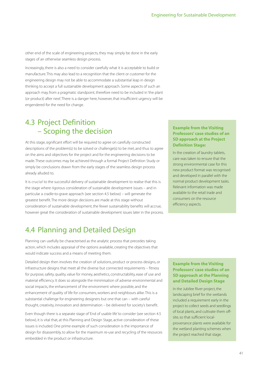other end of the scale of engineering projects, they may simply be done in the early stages of an otherwise seamless design process.

Increasingly, there is also a need to consider carefully what it is acceptable to build or manufacture. This may also lead to a recognition that the client or customer for the engineering design may not be able to accommodate a substantial leap in design thinking to accept a full sustainable development approach. Some aspects of such an approach may, from a pragmatic standpoint, therefore need to be included in 'the plant (or product) after next'. There is a danger here, however, that insufficient urgency will be engendered for the need for change.

## 4.3 Project Definition – Scoping the decision

At this stage, significant effort will be required to agree on carefully constructed descriptions of the problem(s) to be solved or challenge(s) to be met, and thus to agree on the aims and objectives for the project and for the engineering decisions to be made. These outcomes may be achieved through a formal Project Definition Study or simply be conclusions drawn from the early stages of the seamless design process already alluded to.

It is crucial to the successful delivery of sustainable development to realise that this is the stage where rigorous consideration of sustainable development issues – and in particular a cradle-to-grave approach (see section 4.5 below) – will generate the greatest benefit. The more design decisions are made at this stage without consideration of sustainable development, the fewer sustainability benefits will accrue, however great the consideration of sustainable development issues later in the process.

## 4.4 Planning and Detailed Design

Planning can usefully be characterised as the analytic process that precedes taking action, which includes appraisal of the options available, creating the objectives that would indicate success and a means of meeting them.

Detailed design then involves the creation of solutions, product or process designs, or infrastructure designs that meet all the diverse but connected requirements – fitness for purpose, safety, quality, value for money, aesthetics, constructability, ease of use and material efficiency. It does so alongside the minimisation of adverse environmental and social impacts, the enhancement of the environment where possible, and the enhancement of quality of life for consumers, workers and neighbours alike. This is a substantial challenge for engineering designers but one that can – with careful thought, creativity, innovation and determination – be delivered for society's benefit.

Even though there is a separate stage of 'End of usable life' to consider (see section 4.5 below), it is vital that, at this Planning and Design Stage, active consideration of these issues is included. One prime example of such consideration is the importance of design for disassembly, to allow for the maximum re-use and recycling of the resources embedded in the product or infrastructure.

#### **Example from the Visiting Professors' case studies of an SD approach at the Project Definition Stage:**

In the creation of laundry tablets, care was taken to ensure that the strong environmental case for this new product format was recognised and developed in parallel with the normal product development tasks. Relevant information was made available to the retail trade and consumers on the resource efficiency aspects.

#### **Example from the Visiting Professors' case studies of an SD approach at the Planning and Detailed Design Stage**

In the Jubilee River project, the landscaping brief for the wetlands included a requirement early in the project to collect seeds and seedlings of local plants, and cultivate them offsite, so that sufficient localprovenance plants were available for the wetland planting schemes when the project reached that stage.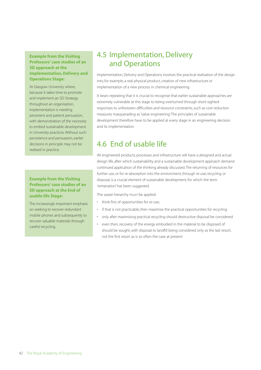#### **Example from the Visiting Professors' case studies of an SD approach at the Implementation, Delivery and Operations Stage:**

At Glasgow University where, because it takes time to promote and implement an SD Strategy throughout an organisation, implementation is needing persistent and patient persuasion, with demonstration of the necessity to embed sustainable development in University practices. Without such persistence and persuasion, earlier decisions in principle may not be realised in practice.

#### **Example from the Visiting Professors' case studies of an SD approach at the End of usable life Stage:**

The increasingly important emphasis on seeking to recover redundant mobile phones and subsequently to recover valuable materials through careful recycling.

## 4.5 Implementation, Delivery and Operations

Implementation, Delivery and Operations involves the practical realisation of the design into, for example, a real physical product, creation of new infrastructure or implementation of a new process in chemical engineering.

It bears repeating that it is crucial to recognise that earlier sustainable approaches are extremely vulnerable at this stage to being overturned through short-sighted responses to unforeseen difficulties and resource constraints, such as cost reduction measures masquerading as 'value engineering'. The principles of sustainable development therefore have to be applied at every stage in an engineering decision and its implementation.

# 4.6 End of usable life

All engineered products, processes and infrastructure will have a designed and actual design life, after which sustainability and a sustainable development approach demand continued application of the thinking already discussed. The returning of resources for further use, or for re-absorption into the environment, through re-use, recycling or disposal, is a crucial element of sustainable development, for which the term 'remanation' has been suggested.

The waste hierarchy must be applied:

- think first of opportunities for re-use;
- if that is not practicable, then maximise the practical opportunities for recycling
- only after maximising practical recycling should destructive disposal be considered
- even then, recovery of the energy embodied in the material to be disposed of should be sought, with disposal to landfill being considered only as the last resort, not the first resort as is so often the case at present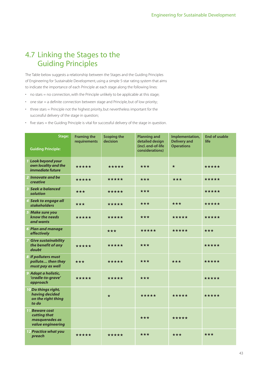## 4.7 Linking the Stages to the Guiding Principles

The Table below suggests a relationship between the Stages and the Guiding Principles of Engineering for Sustainable Development, using a simple 5-star rating system that aims to indicate the importance of each Principle at each stage along the following lines:

- no stars = no connection, with the Principle unlikely to be applicable at this stage;
- one star = a definite connection between stage and Principle, but of low priority;
- three stars = Principle not the highest priority, but nevertheless important for the successful delivery of the stage in question;
- five stars = the Guiding Principle is vital for successful delivery of the stage in question.

| Stage:<br><b>Guiding Principle:</b>                                          | <b>Framing the</b><br>requirements | <b>Scoping the</b><br>decision | <b>Planning and</b><br>detailed design<br>(incl. end-of-life<br>considerations) | Implementation,<br><b>Delivery and</b><br><b>Operations</b> | <b>End of usable</b><br>life |
|------------------------------------------------------------------------------|------------------------------------|--------------------------------|---------------------------------------------------------------------------------|-------------------------------------------------------------|------------------------------|
| 1 Look beyond your<br>own locality and the<br><i>immediate future</i>        | *****                              | *****                          | $\star\star\star$                                                               | $\star$                                                     | *****                        |
| 2 Innovate and be<br><b>creative</b>                                         | *****                              | *****                          | ***                                                                             | ***                                                         | *****                        |
| 3 Seek a balanced<br>solution                                                | ***                                | *****                          | $\star\star\star$                                                               |                                                             | *****                        |
| 4 Seek to engage all<br><b>stakeholders</b>                                  | ***                                | *****                          | ***                                                                             | ***                                                         | *****                        |
| 5 Make sure you<br>know the needs<br>and wants                               | *****                              | *****                          | ***                                                                             | *****                                                       | *****                        |
| <b>6 Plan and manage</b><br>effectively                                      |                                    | ***                            | *****                                                                           | *****                                                       | ***                          |
| <b>7 Give sustainability</b><br>the benefit of any<br>doubt                  | *****                              | *****                          | ***                                                                             |                                                             | *****                        |
| 8 If polluters must<br>pollute then they<br>must pay as well                 | ***                                | *****                          | ***                                                                             | ★★★                                                         | *****                        |
| 9 Adopt a holistic,<br>'cradle-to-grave'<br>approach                         | *****                              | *****                          | ***                                                                             |                                                             | *****                        |
| 10 Do things right,<br>having decided<br>on the right thing<br>to do         |                                    | $\star$                        | *****                                                                           | *****                                                       | *****                        |
| <b>11 Beware cost</b><br>cutting that<br>masquerades as<br>value engineering |                                    |                                | ***                                                                             | *****                                                       |                              |
| <b>12 Practice what you</b><br>preach                                        | *****                              | *****                          | ***                                                                             | ***                                                         | ***                          |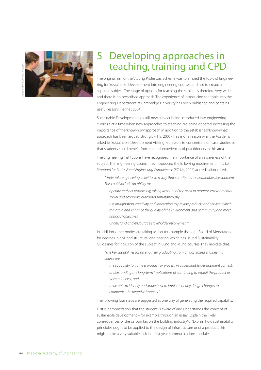

# 5 Developing approaches in teaching, training and CPD

The original aim of the Visiting Professors Scheme was to embed the topic of Engineering for Sustainable Development into engineering courses, and not to create a separate subject. The range of options for teaching the subject is therefore very wide, and there is no prescribed approach. The experience of introducing the topic into the Engineering Department at Cambridge University has been published and contains useful lessons (Fenner, 2004).

Sustainable Development is a still-new subject being introduced into engineering curricula at a time when new approaches to teaching are being debated. Increasing the importance of the 'know-how' approach in addition to the established 'know-what' approach has been argued strongly (Hills, 2005). This is one reason why the Academy asked its Sustainable Development Visiting Professors to concentrate on case studies, so that students could benefit from the real experiences of practitioners in this area.

The Engineering Institutions have recognised the importance of an awareness of the subject. The Engineering Council has introduced the following requirement in its UK Standard for Professional Engineering Competence (EC UK, 2004) accreditation criteria:

"Undertake engineering activities in a way that contributes to sustainable development. This could include an ability to:

- operate and act responsibly, taking account of the need to progress environmental, social and economic outcomes simultaneously
- use imagination, creativity and innovation to provide products and services which maintain and enhance the quality of the environment and community, and meet financial objectives
- understand and encourage stakeholder involvement"

In addition, other bodies are taking action, for example the Joint Board of Moderators for degrees in civil and structural engineering, which has issued Sustainability Guidelines for inclusion of the subject in BEng and MEng courses. They indicate that:

"The key capabilities for an engineer graduating from an accredited engineering course are:

- the capability to frame a product, or process, in a sustainable development context;
- understanding the long-term implications of continuing to exploit the product or system for ever; and
- to be able to identify and know how to implement any design changes to counteract the negative impacts."

The following four steps are suggested as one way of generating the required capability.

First is demonstration that the student is aware of and understands the concept of sustainable development – for example through an essay:'Explain the likely consequences of the carbon tax on the building industry' or 'Explain how sustainability principles ought to be applied to the design of infrastructure or of a product'. This might make a very suitable task in a first-year communications module.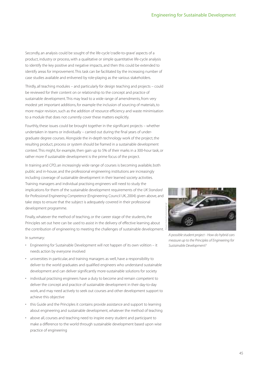Secondly, an analysis could be sought of the life-cycle 'cradle-to-grave' aspects of a product, industry or process, with a qualitative or simple quantitative life-cycle analysis to identify the key positive and negative impacts, and then this could be extended to identify areas for improvement. This task can be facilitated by the increasing number of case studies available and enlivened by role-playing as the various stakeholders.

Thirdly, all teaching modules – and particularly for design teaching and projects – could be reviewed for their content on or relationship to the concept and practice of sustainable development. This may lead to a wide range of amendments, from very modest yet important additions, for example the inclusion of sourcing of materials, to more major revision, such as the addition of resource efficiency and waste minimisation to a module that does not currently cover these matters explicitly.

Fourthly, these issues could be brought together in the significant projects – whether undertaken in teams or individually – carried out during the final years of undergraduate degree courses. Alongside the in-depth technology work of the project, the resulting product, process or system should be framed in a sustainable development context. This might, for example, then gain up to 5% of their marks in a 300-hour task, or rather more if sustainable development is the prime focus of the project.

In training and CPD, an increasingly wide range of courses is becoming available, both public and in-house, and the professional engineering institutions are increasingly including coverage of sustainable development in their learned society activities. Training managers and individual practising engineers will need to study the implications for them of the sustainable development requirements of the UK Standard for Professional Engineering Competence (Engineering Council UK, 2004) given above, and take steps to ensure that the subject is adequately covered in their professional development programme.

Finally, whatever the method of teaching, or the career stage of the students, the Principles set out here can be used to assist in the delivery of effective learning about the contribution of engineering to meeting the challenges of sustainable development.

#### In summary:

- Engineering for Sustainable Development will not happen of its own volition it needs action by everyone involved
- universities in particular, and training managers as well, have a responsibility to deliver to the world graduates and qualified engineers who understand sustainable development and can deliver significantly more-sustainable solutions for society
- individual practising engineers have a duty to become and remain competent to deliver the concept and practice of sustainable development in their day-to-day work, and may need actively to seek out courses and other development support to achieve this objective
- this Guide and the Principles it contains provide assistance and support to learning about engineering and sustainable development, whatever the method of teaching
- above all, courses and teaching need to inspire every student and participant to make a difference to the world through sustainable development based upon wise practice of engineering



A possible student project - How do hybrid cars measure up to the Principles of Engineering for Sustainable Development?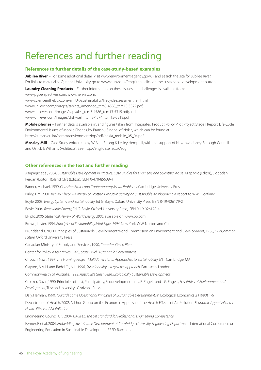# References and further reading

#### **References to further details of the case-study-based examples**

**Jubilee River** – For some additional detail, visit www.environment-agency.gov.uk and search the site for Jubilee River. For links to material at Queen's Univerisity, go to www.qub.ac.uk/feng/ then click on the sustainable development button.

**Laundry Cleaning Products** – Further information on these issues and challenges is available from:

www.pgperspectives.com; www.henkel.com;

www.scienceinthebox.com/en\_UK/sustainability/lifecycleassessment\_en.html;

www.unilever.com/Images/tablets\_amended\_tcm3-4583\_tcm13-5327.pdf;

www.unilever.com/Images/capsules\_tcm3-4586\_tcm13-5319.pdf; and

www.unilever.com/Images/dishwash\_tcm3-4574\_tcm13-5318.pdf

**Mobile phones** – Further details available in, and figures taken from, Integrated Product Policy Pilot Project Stage I Report: Life Cycle Environmental Issues of Mobile Phones, by Pranshu Singhal of Nokia, which can be found at http://europa.eu.int/comm/environment/ipp/pdf/nokia\_mobile\_05\_04.pdf.

**Mossley Mill** – Case Study written up by W Alan Strong & Lesley Hemphill, with the support of Newtownabbey Borough Council and Ostick & Williams (Achitects). See http://engj.ulster.ac.uk/sdg.

#### **Other references in the text and further reading**

Azapagic et al, 2004, Sustainable Development in Practice: Case Studies for Engineers and Scientists, Adisa Azapagic (Editor), Slobodan Perdan (Editor), Roland Clift (Editor), ISBN: 0-470-85608-4 Banner, Michael, 1999, Christian Ethics and Contemporary Moral Problems, Cambridge University Press Birley, Tim, 2001, Reality Check - A review of Scottish Executive activity on sustainable development, A report to WWF Scotland Boyle, 2003, Energy Systems and Sustainability, Ed G. Boyle, Oxford University Press, ISBN 0-19-926179-2 Boyle, 2004, Renewable Energy, Ed G. Boyle, Oxford University Press, ISBN 0-19-926178-4 BP plc, 2005, Statistical Review of World Energy 2005, available on www.bp.com Brown, Lester, 1994, Principles of Sustainability, Vital Signs 1994. New York: W.W. Norton and Co. Brundtland, UNCED Principles of Sustainable Development World Commission on Environment and Development, 1988, Our Common Future, Oxford University Press Canadian Ministry of Supply and Services, 1990, Canada's Green Plan Center for Policy Alternatives, 1993, State Level Sustainable Development Choucri, Nazli, 1997, The Framing Project: Multidimensional Approaches to Sustainability, MIT, Cambridge, MA Clayton, A.M.H. and Radcliffe, N.J., 1996, Sustainability – a systems approach, Earthscan, London Commonwealth of Australia, 1992, Australia's Green Plan: Ecologically Sustainable Development Crocker, David,1990, Principles of Just, Participatory, Ecodevelopment in: J. R. Engels and J.G. Engels, Eds. Ethics of Environment and Development, Tuscon, University of Arizona Press Daly, Herman, 1990, Towards Some Operational Principles of Sustainable Development, in Ecological Economics 2 (1990) 1-6 Department of Health, 2002, Ad-hoc Group on the Economic Appraisal of the Health Effects of Air Pollution, Economic Appraisal of the Health Effects of Air Pollution Engineering Council UK, 2004, UK-SPEC, the UK Standard for Professional Engineering Competence Fenner, R et al, 2004, Embedding Sustainable Development at Cambridge University Engineering Department, International Conference on Engineering Education in Sustainable Development EESD, Barcelona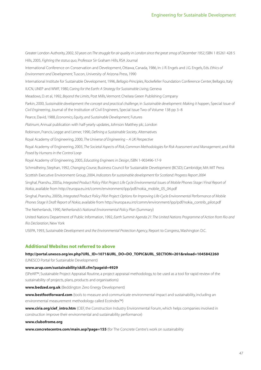Greater London Authority, 2002, 50 years on:The struggle for air quality in London since the great smog of December 1952, ISBN 1 85261 428 5 Hills, 2005, Fighting the status quo, Professor Sir Graham Hills, RSA Journal International Conference on Conservation and Development, Ottawa, Canada, 1986, In: J. R. Engels and J.G. Engels, Eds. Ethics of Environment and Development, Tuscon, University of Arizona Press, 1990 International Institute for Sustainable Development, 1996, Bellagio Principles, Rockefeller Foundation Conference Center, Bellagio, Italy IUCN, UNEP and WWF, 1980, Caring for the Earth: A Strategy for Sustainable Living, Geneva Meadows, D. et al, 1992, Beyond the Limits, Post Mills, Vermont: Chelsea Green Publishing Company Parkin, 2000, Sustainable development: the concept and practical challenge, in Sustainable development: Making it happen, Special Issue of Civil Engineering, Journal of the Institution of Civil Engineers, Special Issue Two of Volume 138 pp 3–8 Pearce, David, 1988, Economics, Equity, and Sustainable Development, Futures Platinum, Annual publication with half-yearly updates, Johnson Matthey plc, London Robinson, Francis, Legge and Lerner, 1990, Defining a Sustainable Society, Alternatives Royal Academy of Engineering, 2000, The Universe of Engineering – A UK Perspective Royal Academy of Engineering, 2003, The Societal Aspects of Risk, Common Methodologies for Risk Assessment and Management, and Risk Posed by Humans in the Control Loop Royal Academy of Engineering, 2005, Educating Engineers in Design, ISBN 1-903496-17-9 Schmidheiny, Stephan, 1992, Changing Course, Business Council for Sustainable Development (BCSD), Cambridge, MA: MIT Press Scottish Executive Environment Group, 2004, Indicators for sustainable development for Scotland: Progress Report 2004 Singhal, Pranshu, 2005a, Integrated Product Policy Pilot Project: Life Cycle Environmental Issues of Mobile Phones Stage I Final Report of Nokia, available from http://europa.eu.int/comm/environment/ipp/pdf/nokia\_mobile\_05\_04.pdf Singhal, Pranshu, 2005b, Integrated Product Policy Pilot Project: Options for Improving Life-Cycle Environmental Performance of Mobile Phones Stage II Draft Report of Nokia, available from http://europa.eu.int/comm/environment/ipp/pdf/nokia\_contrib\_pilot.pdf The Netherlands, 1990, Netherlands's National Environmental Policy Plan (Summary) United Nations Department of Public Information, 1992, Earth Summit Agenda 21: The United Nations Programme of Action from Rio and

Rio Declaration, New York

USEPA, 1993, Sustainable Development and the Environmental Protection Agency, Report to Congress, Washington D.C.

#### **Additional Websites not referred to above**

#### **http://portal.unesco.org/ev.php?URL\_ID=1071&URL\_DO=DO\_TOPIC&URL\_SECTION=201&reload=1045842260** (UNESCO Portal for Sustainable Development)

#### **www.arup.com/sustainability/skill.cfm?pageid=4929**

(SPeAR™, Sustainable Project Appraisal Routine, a project appraisal methodology, to be used as a tool for rapid review of the sustainability of projects, plans, products and organisations)

**www.bedzed.org.uk** (Beddington Zero Energy Development)

**www.bestfootforward.com** (tools to measure and communicate environmental impact and sustainability, including an environmental measurement methodology called EcoIndex™)

**www.ciria.org/cief\_intro.htm** (CIEF, the Construction Industry Environmental Forum, which helps companies involved in construction improve their environmental and sustainability performance)

#### **www.clubofrome.org**

**www.concretecentre.com/main.asp?page=155** (for The Concrete Centre's work on sustainability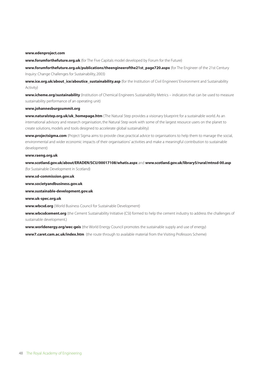#### **www.edenproject.com**

**www.forumforthefuture.org.uk** (for The Five Capitals model developed by Forum for the Future)

**www.forumforthefuture.org.uk/publications/theengineerofthe21st\_page720.aspx** (for The Engineer of the 21st Century Inquiry: Change Challenges for Sustainability, 2003)

www.ice.org.uk/about ice/aboutice sustainability.asp (for the Institution of Civil Engineers' Environment and Sustainability Activity)

**www.icheme.org/sustainability** (Institution of Chemical Engineers Sustainability Metrics – indicators that can be used to measure sustainability performance of an operating unit)

#### **www.johannesburgsummit.org**

**www.naturalstep.org.uk/uk\_homepage.htm** (The Natural Step provides a visionary blueprint for a sustainable world. As an international advisory and research organisation, the Natural Step work with some of the largest resource users on the planet to create solutions, models and tools designed to accelerate global sustainability)

**www.projectsigma.com** (Project Sigma aims to provide clear, practical advice to organisations to help them to manage the social, environmental and wider economic impacts of their organisations' activities and make a meaningful contribution to sustainable development)

#### **www.raeng.org.uk**

**www.scotland.gov.uk/about/ERADEN/SCU/00017108/whatis.aspx** and **www.scotland.gov.uk/library5/rural/mtnsd-00.asp** (for Sustainable Development in Scotland)

**www.sd-commission.gov.uk**

**www.societyandbusiness.gov.uk**

**www.sustainable-development.gov.uk**

**www.uk-spec.org.uk**

**www.wbcsd.org** (World Business Council for Sustainable Development)

**www.wbcsdcement.org** (the Cement Sustainability Initiative (CSI) formed to help the cement industry to address the challenges of sustainable development.)

**www.worldenergy.org/wec-geis** (the World Energy Council promotes the sustainable supply and use of energy)

**www7.caret.cam.ac.uk/index.htm** (the route through to available material from the Visiting Professors Scheme)